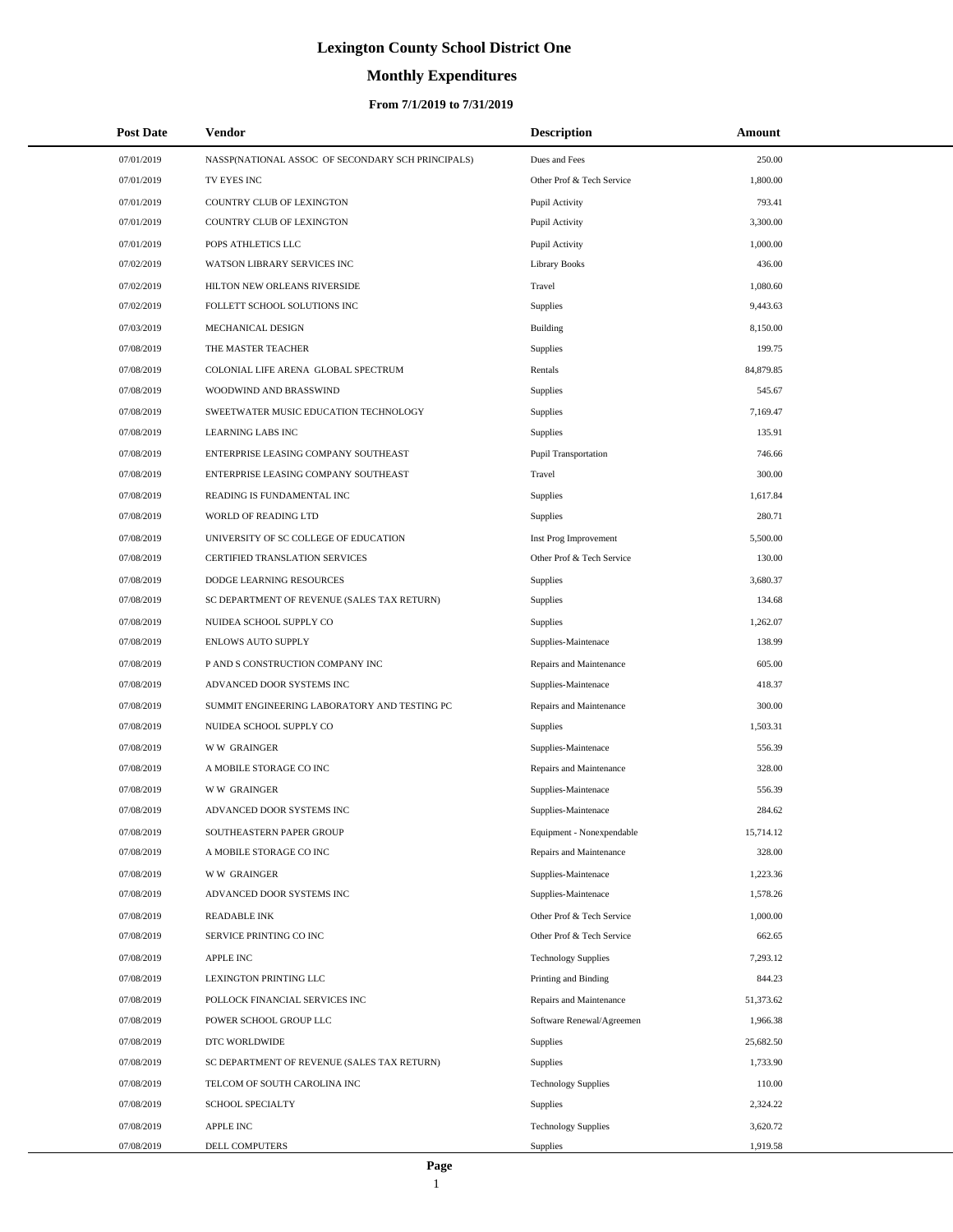# **Monthly Expenditures**

| <b>Post Date</b> | Vendor                                            | <b>Description</b>         | Amount    |
|------------------|---------------------------------------------------|----------------------------|-----------|
| 07/01/2019       | NASSP(NATIONAL ASSOC OF SECONDARY SCH PRINCIPALS) | Dues and Fees              | 250.00    |
| 07/01/2019       | TV EYES INC                                       | Other Prof & Tech Service  | 1,800.00  |
| 07/01/2019       | COUNTRY CLUB OF LEXINGTON                         | Pupil Activity             | 793.41    |
| 07/01/2019       | COUNTRY CLUB OF LEXINGTON                         | Pupil Activity             | 3,300.00  |
| 07/01/2019       | POPS ATHLETICS LLC                                | Pupil Activity             | 1,000.00  |
| 07/02/2019       | WATSON LIBRARY SERVICES INC                       | <b>Library Books</b>       | 436.00    |
| 07/02/2019       | HILTON NEW ORLEANS RIVERSIDE                      | Travel                     | 1,080.60  |
| 07/02/2019       | FOLLETT SCHOOL SOLUTIONS INC                      | Supplies                   | 9,443.63  |
| 07/03/2019       | MECHANICAL DESIGN                                 | <b>Building</b>            | 8,150.00  |
| 07/08/2019       | THE MASTER TEACHER                                | Supplies                   | 199.75    |
| 07/08/2019       | COLONIAL LIFE ARENA GLOBAL SPECTRUM               | Rentals                    | 84,879.85 |
| 07/08/2019       | WOODWIND AND BRASSWIND                            | Supplies                   | 545.67    |
| 07/08/2019       | SWEETWATER MUSIC EDUCATION TECHNOLOGY             | Supplies                   | 7,169.47  |
| 07/08/2019       | LEARNING LABS INC                                 | <b>Supplies</b>            | 135.91    |
| 07/08/2019       | ENTERPRISE LEASING COMPANY SOUTHEAST              | Pupil Transportation       | 746.66    |
| 07/08/2019       | ENTERPRISE LEASING COMPANY SOUTHEAST              | Travel                     | 300.00    |
| 07/08/2019       | READING IS FUNDAMENTAL INC                        | Supplies                   | 1,617.84  |
| 07/08/2019       | WORLD OF READING LTD                              | Supplies                   | 280.71    |
| 07/08/2019       | UNIVERSITY OF SC COLLEGE OF EDUCATION             | Inst Prog Improvement      | 5,500.00  |
| 07/08/2019       | CERTIFIED TRANSLATION SERVICES                    | Other Prof & Tech Service  | 130.00    |
| 07/08/2019       | DODGE LEARNING RESOURCES                          | <b>Supplies</b>            | 3,680.37  |
| 07/08/2019       | SC DEPARTMENT OF REVENUE (SALES TAX RETURN)       | Supplies                   | 134.68    |
| 07/08/2019       | NUIDEA SCHOOL SUPPLY CO                           | Supplies                   | 1,262.07  |
| 07/08/2019       | <b>ENLOWS AUTO SUPPLY</b>                         | Supplies-Maintenace        | 138.99    |
| 07/08/2019       | P AND S CONSTRUCTION COMPANY INC                  | Repairs and Maintenance    | 605.00    |
| 07/08/2019       | ADVANCED DOOR SYSTEMS INC                         | Supplies-Maintenace        | 418.37    |
| 07/08/2019       | SUMMIT ENGINEERING LABORATORY AND TESTING PC      | Repairs and Maintenance    | 300.00    |
| 07/08/2019       | NUIDEA SCHOOL SUPPLY CO                           | Supplies                   | 1,503.31  |
| 07/08/2019       | <b>WW GRAINGER</b>                                | Supplies-Maintenace        | 556.39    |
| 07/08/2019       | A MOBILE STORAGE CO INC                           | Repairs and Maintenance    | 328.00    |
| 07/08/2019       | <b>WW GRAINGER</b>                                | Supplies-Maintenace        | 556.39    |
| 07/08/2019       | ADVANCED DOOR SYSTEMS INC                         | Supplies-Maintenace        | 284.62    |
| 07/08/2019       | SOUTHEASTERN PAPER GROUP                          | Equipment - Nonexpendable  | 15,714.12 |
| 07/08/2019       | A MOBILE STORAGE CO INC                           | Repairs and Maintenance    | 328.00    |
| 07/08/2019       | <b>WW GRAINGER</b>                                | Supplies-Maintenace        | 1,223.36  |
| 07/08/2019       | ADVANCED DOOR SYSTEMS INC                         | Supplies-Maintenace        | 1,578.26  |
| 07/08/2019       | <b>READABLE INK</b>                               | Other Prof & Tech Service  | 1,000.00  |
| 07/08/2019       | SERVICE PRINTING CO INC                           | Other Prof & Tech Service  | 662.65    |
| 07/08/2019       | <b>APPLE INC</b>                                  | <b>Technology Supplies</b> | 7,293.12  |
| 07/08/2019       | LEXINGTON PRINTING LLC                            | Printing and Binding       | 844.23    |
| 07/08/2019       | POLLOCK FINANCIAL SERVICES INC                    | Repairs and Maintenance    | 51,373.62 |
| 07/08/2019       | POWER SCHOOL GROUP LLC                            | Software Renewal/Agreemen  | 1,966.38  |
| 07/08/2019       | DTC WORLDWIDE                                     | Supplies                   | 25,682.50 |
| 07/08/2019       | SC DEPARTMENT OF REVENUE (SALES TAX RETURN)       | Supplies                   | 1,733.90  |
| 07/08/2019       | TELCOM OF SOUTH CAROLINA INC                      | <b>Technology Supplies</b> | 110.00    |
| 07/08/2019       | SCHOOL SPECIALTY                                  | Supplies                   | 2,324.22  |
| 07/08/2019       | <b>APPLE INC</b>                                  | <b>Technology Supplies</b> | 3,620.72  |
| 07/08/2019       | DELL COMPUTERS                                    | Supplies                   | 1,919.58  |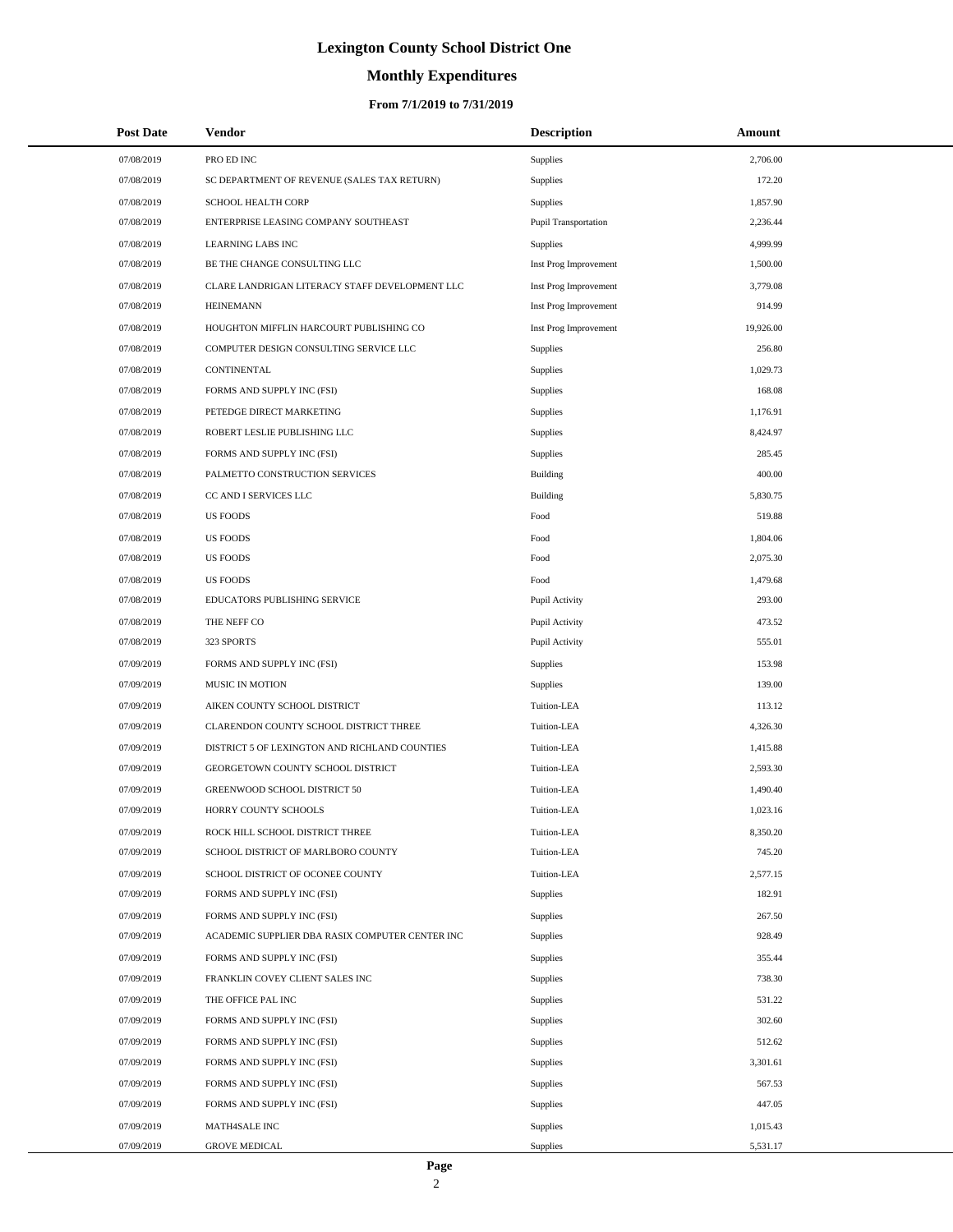# **Monthly Expenditures**

| <b>Post Date</b> | Vendor                                          | <b>Description</b>          | Amount    |
|------------------|-------------------------------------------------|-----------------------------|-----------|
| 07/08/2019       | PRO ED INC                                      | <b>Supplies</b>             | 2,706.00  |
| 07/08/2019       | SC DEPARTMENT OF REVENUE (SALES TAX RETURN)     | <b>Supplies</b>             | 172.20    |
| 07/08/2019       | SCHOOL HEALTH CORP                              | <b>Supplies</b>             | 1,857.90  |
| 07/08/2019       | ENTERPRISE LEASING COMPANY SOUTHEAST            | <b>Pupil Transportation</b> | 2,236.44  |
| 07/08/2019       | <b>LEARNING LABS INC</b>                        | <b>Supplies</b>             | 4,999.99  |
| 07/08/2019       | BE THE CHANGE CONSULTING LLC                    | Inst Prog Improvement       | 1,500.00  |
| 07/08/2019       | CLARE LANDRIGAN LITERACY STAFF DEVELOPMENT LLC  | Inst Prog Improvement       | 3,779.08  |
| 07/08/2019       | <b>HEINEMANN</b>                                | Inst Prog Improvement       | 914.99    |
| 07/08/2019       | HOUGHTON MIFFLIN HARCOURT PUBLISHING CO         | Inst Prog Improvement       | 19,926.00 |
| 07/08/2019       | COMPUTER DESIGN CONSULTING SERVICE LLC          | Supplies                    | 256.80    |
| 07/08/2019       | CONTINENTAL                                     | <b>Supplies</b>             | 1,029.73  |
| 07/08/2019       | FORMS AND SUPPLY INC (FSI)                      | <b>Supplies</b>             | 168.08    |
| 07/08/2019       | PETEDGE DIRECT MARKETING                        | <b>Supplies</b>             | 1,176.91  |
| 07/08/2019       | ROBERT LESLIE PUBLISHING LLC                    | <b>Supplies</b>             | 8,424.97  |
| 07/08/2019       | FORMS AND SUPPLY INC (FSI)                      | <b>Supplies</b>             | 285.45    |
| 07/08/2019       | PALMETTO CONSTRUCTION SERVICES                  | <b>Building</b>             | 400.00    |
| 07/08/2019       | CC AND I SERVICES LLC                           | <b>Building</b>             | 5,830.75  |
| 07/08/2019       | <b>US FOODS</b>                                 | Food                        | 519.88    |
| 07/08/2019       | <b>US FOODS</b>                                 | Food                        | 1,804.06  |
| 07/08/2019       | <b>US FOODS</b>                                 | Food                        | 2,075.30  |
| 07/08/2019       | <b>US FOODS</b>                                 | Food                        | 1,479.68  |
| 07/08/2019       | EDUCATORS PUBLISHING SERVICE                    | Pupil Activity              | 293.00    |
| 07/08/2019       | THE NEFF CO                                     | Pupil Activity              | 473.52    |
| 07/08/2019       | 323 SPORTS                                      | Pupil Activity              | 555.01    |
| 07/09/2019       | FORMS AND SUPPLY INC (FSI)                      | <b>Supplies</b>             | 153.98    |
| 07/09/2019       | <b>MUSIC IN MOTION</b>                          | <b>Supplies</b>             | 139.00    |
| 07/09/2019       | AIKEN COUNTY SCHOOL DISTRICT                    | Tuition-LEA                 | 113.12    |
| 07/09/2019       | CLARENDON COUNTY SCHOOL DISTRICT THREE          | Tuition-LEA                 | 4,326.30  |
| 07/09/2019       | DISTRICT 5 OF LEXINGTON AND RICHLAND COUNTIES   | Tuition-LEA                 | 1,415.88  |
| 07/09/2019       | GEORGETOWN COUNTY SCHOOL DISTRICT               | Tuition-LEA                 | 2,593.30  |
| 07/09/2019       | GREENWOOD SCHOOL DISTRICT 50                    | Tuition-LEA                 | 1,490.40  |
| 07/09/2019       | HORRY COUNTY SCHOOLS                            | Tuition-LEA                 | 1,023.16  |
| 07/09/2019       | ROCK HILL SCHOOL DISTRICT THREE                 | Tuition-LEA                 | 8,350.20  |
| 07/09/2019       | SCHOOL DISTRICT OF MARLBORO COUNTY              | Tuition-LEA                 | 745.20    |
| 07/09/2019       | SCHOOL DISTRICT OF OCONEE COUNTY                | Tuition-LEA                 | 2,577.15  |
| 07/09/2019       | FORMS AND SUPPLY INC (FSI)                      | Supplies                    | 182.91    |
| 07/09/2019       | FORMS AND SUPPLY INC (FSI)                      | Supplies                    | 267.50    |
| 07/09/2019       | ACADEMIC SUPPLIER DBA RASIX COMPUTER CENTER INC | <b>Supplies</b>             | 928.49    |
| 07/09/2019       | FORMS AND SUPPLY INC (FSI)                      | Supplies                    | 355.44    |
| 07/09/2019       | FRANKLIN COVEY CLIENT SALES INC                 | Supplies                    | 738.30    |
| 07/09/2019       | THE OFFICE PAL INC                              | Supplies                    | 531.22    |
| 07/09/2019       | FORMS AND SUPPLY INC (FSI)                      | <b>Supplies</b>             | 302.60    |
| 07/09/2019       | FORMS AND SUPPLY INC (FSI)                      | Supplies                    | 512.62    |
| 07/09/2019       | FORMS AND SUPPLY INC (FSI)                      | Supplies                    | 3,301.61  |
| 07/09/2019       | FORMS AND SUPPLY INC (FSI)                      | Supplies                    | 567.53    |
| 07/09/2019       | FORMS AND SUPPLY INC (FSI)                      | Supplies                    | 447.05    |
| 07/09/2019       | MATH4SALE INC                                   | <b>Supplies</b>             | 1,015.43  |
| 07/09/2019       | <b>GROVE MEDICAL</b>                            | Supplies                    | 5,531.17  |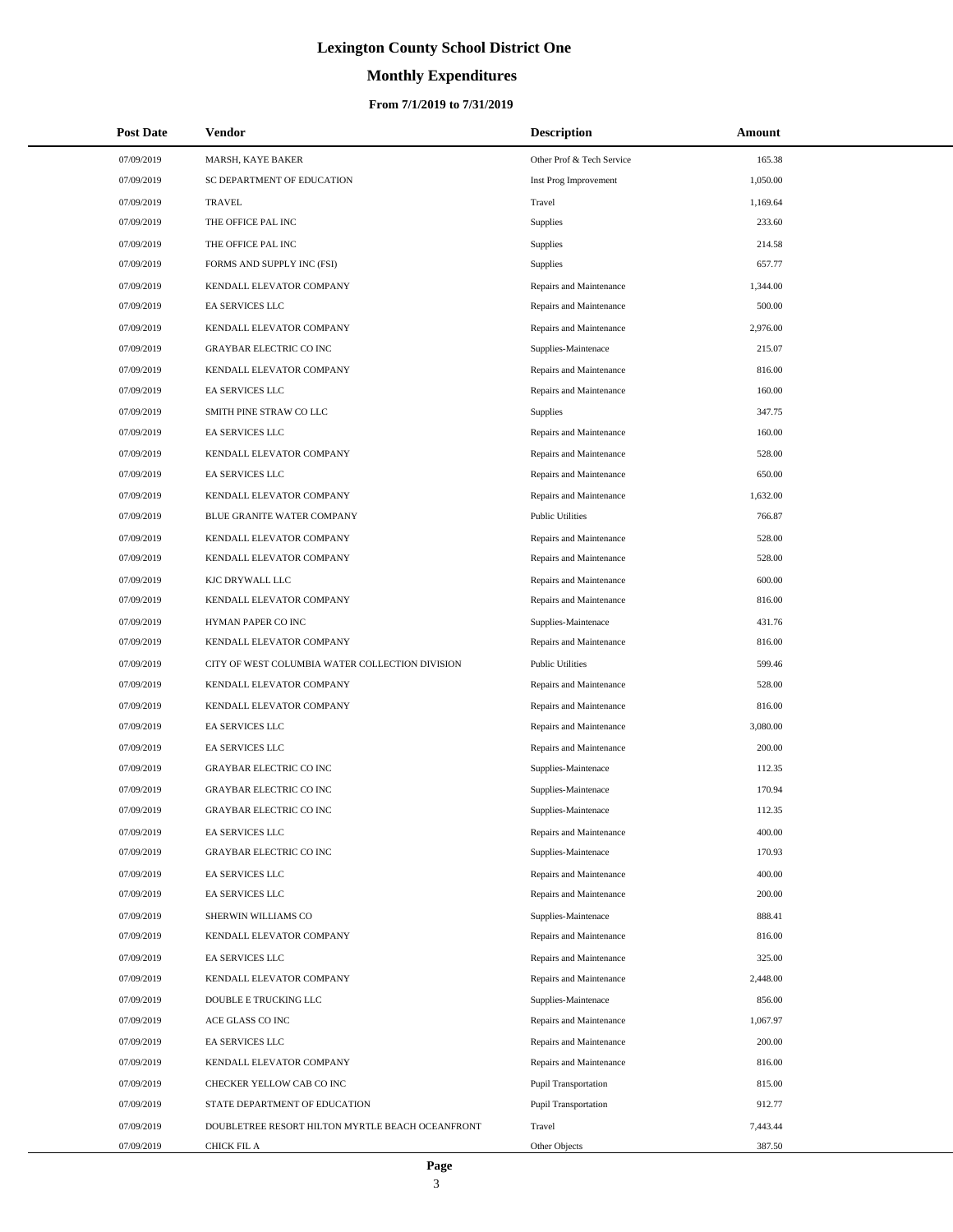# **Monthly Expenditures**

| <b>Post Date</b> | Vendor                                           | <b>Description</b>          | <b>Amount</b> |  |
|------------------|--------------------------------------------------|-----------------------------|---------------|--|
| 07/09/2019       | MARSH, KAYE BAKER                                | Other Prof & Tech Service   | 165.38        |  |
| 07/09/2019       | SC DEPARTMENT OF EDUCATION                       | Inst Prog Improvement       | 1,050.00      |  |
| 07/09/2019       | <b>TRAVEL</b>                                    | Travel                      | 1.169.64      |  |
| 07/09/2019       | THE OFFICE PAL INC                               | Supplies                    | 233.60        |  |
| 07/09/2019       | THE OFFICE PAL INC                               | Supplies                    | 214.58        |  |
| 07/09/2019       | FORMS AND SUPPLY INC (FSI)                       | Supplies                    | 657.77        |  |
| 07/09/2019       | KENDALL ELEVATOR COMPANY                         | Repairs and Maintenance     | 1,344.00      |  |
| 07/09/2019       | <b>EA SERVICES LLC</b>                           | Repairs and Maintenance     | 500.00        |  |
| 07/09/2019       | KENDALL ELEVATOR COMPANY                         | Repairs and Maintenance     | 2,976.00      |  |
| 07/09/2019       | <b>GRAYBAR ELECTRIC CO INC</b>                   | Supplies-Maintenace         | 215.07        |  |
| 07/09/2019       | KENDALL ELEVATOR COMPANY                         | Repairs and Maintenance     | 816.00        |  |
| 07/09/2019       | <b>EA SERVICES LLC</b>                           | Repairs and Maintenance     | 160.00        |  |
| 07/09/2019       | SMITH PINE STRAW CO LLC                          | <b>Supplies</b>             | 347.75        |  |
| 07/09/2019       | EA SERVICES LLC                                  | Repairs and Maintenance     | 160.00        |  |
| 07/09/2019       | KENDALL ELEVATOR COMPANY                         | Repairs and Maintenance     | 528.00        |  |
| 07/09/2019       | <b>EA SERVICES LLC</b>                           | Repairs and Maintenance     | 650.00        |  |
| 07/09/2019       | KENDALL ELEVATOR COMPANY                         | Repairs and Maintenance     | 1,632.00      |  |
| 07/09/2019       | BLUE GRANITE WATER COMPANY                       | <b>Public Utilities</b>     | 766.87        |  |
| 07/09/2019       | KENDALL ELEVATOR COMPANY                         | Repairs and Maintenance     | 528.00        |  |
| 07/09/2019       | KENDALL ELEVATOR COMPANY                         | Repairs and Maintenance     | 528.00        |  |
| 07/09/2019       | KJC DRYWALL LLC                                  | Repairs and Maintenance     | 600.00        |  |
| 07/09/2019       | KENDALL ELEVATOR COMPANY                         | Repairs and Maintenance     | 816.00        |  |
| 07/09/2019       | HYMAN PAPER CO INC                               | Supplies-Maintenace         | 431.76        |  |
| 07/09/2019       | KENDALL ELEVATOR COMPANY                         | Repairs and Maintenance     | 816.00        |  |
| 07/09/2019       | CITY OF WEST COLUMBIA WATER COLLECTION DIVISION  | <b>Public Utilities</b>     | 599.46        |  |
| 07/09/2019       | KENDALL ELEVATOR COMPANY                         | Repairs and Maintenance     | 528.00        |  |
| 07/09/2019       | KENDALL ELEVATOR COMPANY                         | Repairs and Maintenance     | 816.00        |  |
| 07/09/2019       | <b>EA SERVICES LLC</b>                           | Repairs and Maintenance     | 3,080.00      |  |
| 07/09/2019       | <b>EA SERVICES LLC</b>                           | Repairs and Maintenance     | 200.00        |  |
| 07/09/2019       | GRAYBAR ELECTRIC CO INC                          | Supplies-Maintenace         | 112.35        |  |
| 07/09/2019       | <b>GRAYBAR ELECTRIC CO INC</b>                   | Supplies-Maintenace         | 170.94        |  |
| 07/09/2019       | <b>GRAYBAR ELECTRIC CO INC</b>                   | Supplies-Maintenace         | 112.35        |  |
| 07/09/2019       | EA SERVICES LLC                                  | Repairs and Maintenance     | 400.00        |  |
| 07/09/2019       | <b>GRAYBAR ELECTRIC CO INC</b>                   | Supplies-Maintenace         | 170.93        |  |
| 07/09/2019       | EA SERVICES LLC                                  | Repairs and Maintenance     | 400.00        |  |
| 07/09/2019       | EA SERVICES LLC                                  | Repairs and Maintenance     | 200.00        |  |
| 07/09/2019       | SHERWIN WILLIAMS CO                              | Supplies-Maintenace         | 888.41        |  |
| 07/09/2019       | KENDALL ELEVATOR COMPANY                         | Repairs and Maintenance     | 816.00        |  |
| 07/09/2019       | EA SERVICES LLC                                  | Repairs and Maintenance     | 325.00        |  |
| 07/09/2019       | KENDALL ELEVATOR COMPANY                         | Repairs and Maintenance     | 2,448.00      |  |
| 07/09/2019       | DOUBLE E TRUCKING LLC                            | Supplies-Maintenace         | 856.00        |  |
| 07/09/2019       | ACE GLASS CO INC                                 | Repairs and Maintenance     | 1,067.97      |  |
| 07/09/2019       | EA SERVICES LLC                                  | Repairs and Maintenance     | 200.00        |  |
| 07/09/2019       | KENDALL ELEVATOR COMPANY                         | Repairs and Maintenance     | 816.00        |  |
| 07/09/2019       | CHECKER YELLOW CAB CO INC                        | <b>Pupil Transportation</b> | 815.00        |  |
| 07/09/2019       | STATE DEPARTMENT OF EDUCATION                    | <b>Pupil Transportation</b> | 912.77        |  |
| 07/09/2019       | DOUBLETREE RESORT HILTON MYRTLE BEACH OCEANFRONT | Travel                      | 7,443.44      |  |
| 07/09/2019       | CHICK FIL A                                      | Other Objects               | 387.50        |  |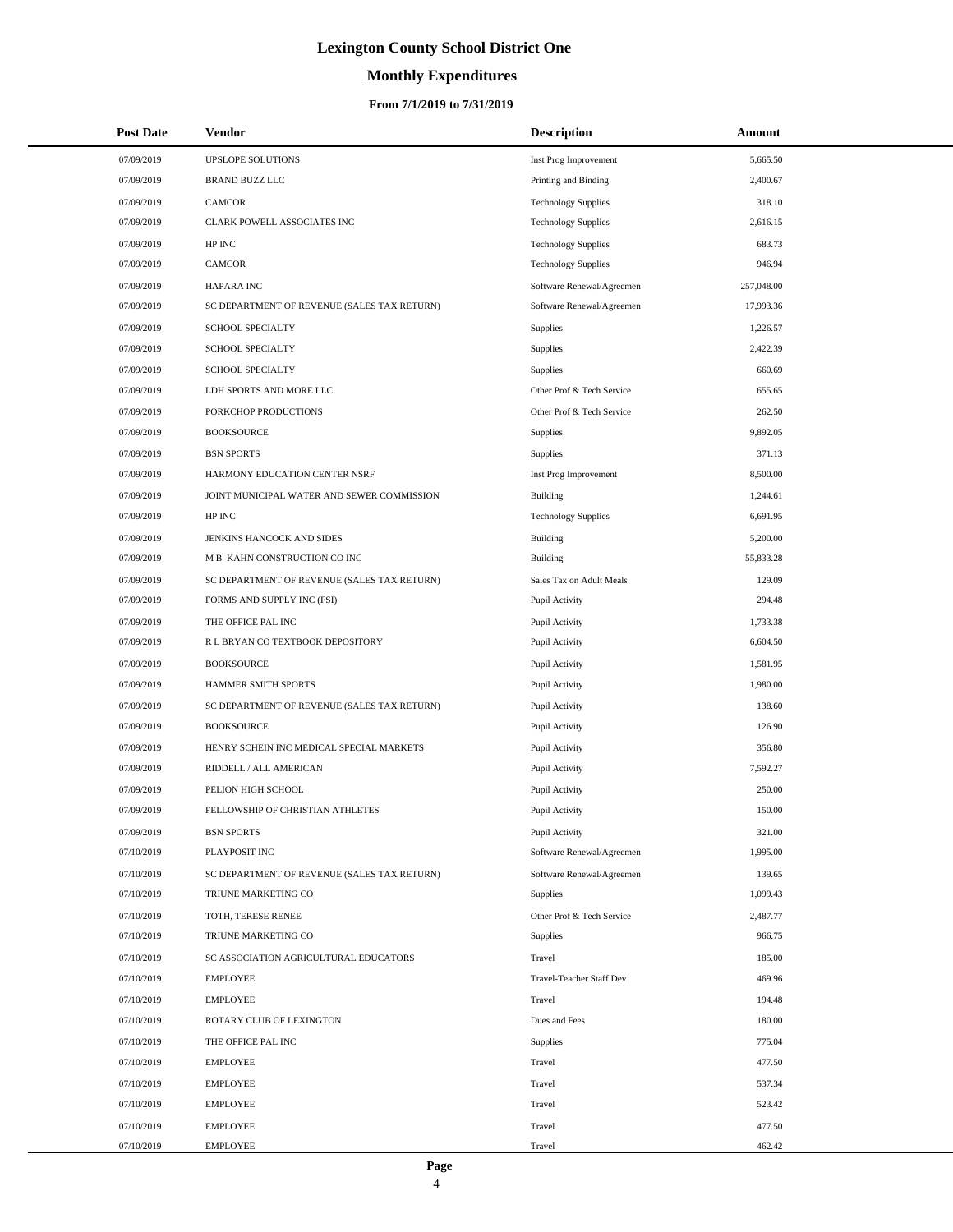# **Monthly Expenditures**

| <b>Post Date</b> | <b>Vendor</b>                               | <b>Description</b>         | Amount     |
|------------------|---------------------------------------------|----------------------------|------------|
| 07/09/2019       | <b>UPSLOPE SOLUTIONS</b>                    | Inst Prog Improvement      | 5,665.50   |
| 07/09/2019       | <b>BRAND BUZZ LLC</b>                       | Printing and Binding       | 2,400.67   |
| 07/09/2019       | <b>CAMCOR</b>                               | <b>Technology Supplies</b> | 318.10     |
| 07/09/2019       | CLARK POWELL ASSOCIATES INC                 | <b>Technology Supplies</b> | 2.616.15   |
| 07/09/2019       | HP INC                                      | <b>Technology Supplies</b> | 683.73     |
| 07/09/2019       | <b>CAMCOR</b>                               | <b>Technology Supplies</b> | 946.94     |
| 07/09/2019       | <b>HAPARA INC</b>                           | Software Renewal/Agreemen  | 257,048.00 |
| 07/09/2019       | SC DEPARTMENT OF REVENUE (SALES TAX RETURN) | Software Renewal/Agreemen  | 17,993.36  |
| 07/09/2019       | SCHOOL SPECIALTY                            | Supplies                   | 1,226.57   |
| 07/09/2019       | SCHOOL SPECIALTY                            | Supplies                   | 2,422.39   |
| 07/09/2019       | SCHOOL SPECIALTY                            | Supplies                   | 660.69     |
| 07/09/2019       | LDH SPORTS AND MORE LLC                     | Other Prof & Tech Service  | 655.65     |
| 07/09/2019       | PORKCHOP PRODUCTIONS                        | Other Prof & Tech Service  | 262.50     |
| 07/09/2019       | <b>BOOKSOURCE</b>                           | Supplies                   | 9,892.05   |
| 07/09/2019       | <b>BSN SPORTS</b>                           | Supplies                   | 371.13     |
| 07/09/2019       | HARMONY EDUCATION CENTER NSRF               | Inst Prog Improvement      | 8,500.00   |
| 07/09/2019       | JOINT MUNICIPAL WATER AND SEWER COMMISSION  | <b>Building</b>            | 1,244.61   |
| 07/09/2019       | HP INC                                      | <b>Technology Supplies</b> | 6,691.95   |
| 07/09/2019       | JENKINS HANCOCK AND SIDES                   | <b>Building</b>            | 5,200.00   |
| 07/09/2019       | M B KAHN CONSTRUCTION CO INC                | <b>Building</b>            | 55,833.28  |
| 07/09/2019       | SC DEPARTMENT OF REVENUE (SALES TAX RETURN) | Sales Tax on Adult Meals   | 129.09     |
| 07/09/2019       | FORMS AND SUPPLY INC (FSI)                  | Pupil Activity             | 294.48     |
| 07/09/2019       | THE OFFICE PAL INC                          | Pupil Activity             | 1,733.38   |
| 07/09/2019       | R L BRYAN CO TEXTBOOK DEPOSITORY            | Pupil Activity             | 6,604.50   |
| 07/09/2019       | <b>BOOKSOURCE</b>                           | Pupil Activity             | 1,581.95   |
| 07/09/2019       | HAMMER SMITH SPORTS                         | Pupil Activity             | 1,980.00   |
| 07/09/2019       | SC DEPARTMENT OF REVENUE (SALES TAX RETURN) | Pupil Activity             | 138.60     |
| 07/09/2019       | <b>BOOKSOURCE</b>                           | Pupil Activity             | 126.90     |
| 07/09/2019       | HENRY SCHEIN INC MEDICAL SPECIAL MARKETS    | Pupil Activity             | 356.80     |
| 07/09/2019       | RIDDELL / ALL AMERICAN                      | Pupil Activity             | 7,592.27   |
| 07/09/2019       | PELION HIGH SCHOOL                          | Pupil Activity             | 250.00     |
| 07/09/2019       | FELLOWSHIP OF CHRISTIAN ATHLETES            | Pupil Activity             | 150.00     |
| 07/09/2019       | <b>BSN SPORTS</b>                           | Pupil Activity             | 321.00     |
| 07/10/2019       | PLAYPOSIT INC                               | Software Renewal/Agreemen  | 1,995.00   |
| 07/10/2019       | SC DEPARTMENT OF REVENUE (SALES TAX RETURN) | Software Renewal/Agreemen  | 139.65     |
| 07/10/2019       | TRIUNE MARKETING CO                         | <b>Supplies</b>            | 1,099.43   |
| 07/10/2019       | TOTH, TERESE RENEE                          | Other Prof & Tech Service  | 2,487.77   |
| 07/10/2019       | TRIUNE MARKETING CO                         | Supplies                   | 966.75     |
| 07/10/2019       | SC ASSOCIATION AGRICULTURAL EDUCATORS       | Travel                     | 185.00     |
| 07/10/2019       | <b>EMPLOYEE</b>                             | Travel-Teacher Staff Dev   | 469.96     |
| 07/10/2019       | <b>EMPLOYEE</b>                             | Travel                     | 194.48     |
| 07/10/2019       | ROTARY CLUB OF LEXINGTON                    | Dues and Fees              | 180.00     |
| 07/10/2019       | THE OFFICE PAL INC                          | Supplies                   | 775.04     |
| 07/10/2019       | <b>EMPLOYEE</b>                             | Travel                     | 477.50     |
| 07/10/2019       | <b>EMPLOYEE</b>                             | Travel                     | 537.34     |
| 07/10/2019       | <b>EMPLOYEE</b>                             | Travel                     | 523.42     |
| 07/10/2019       | <b>EMPLOYEE</b>                             | Travel                     | 477.50     |
| 07/10/2019       | <b>EMPLOYEE</b>                             | Travel                     | 462.42     |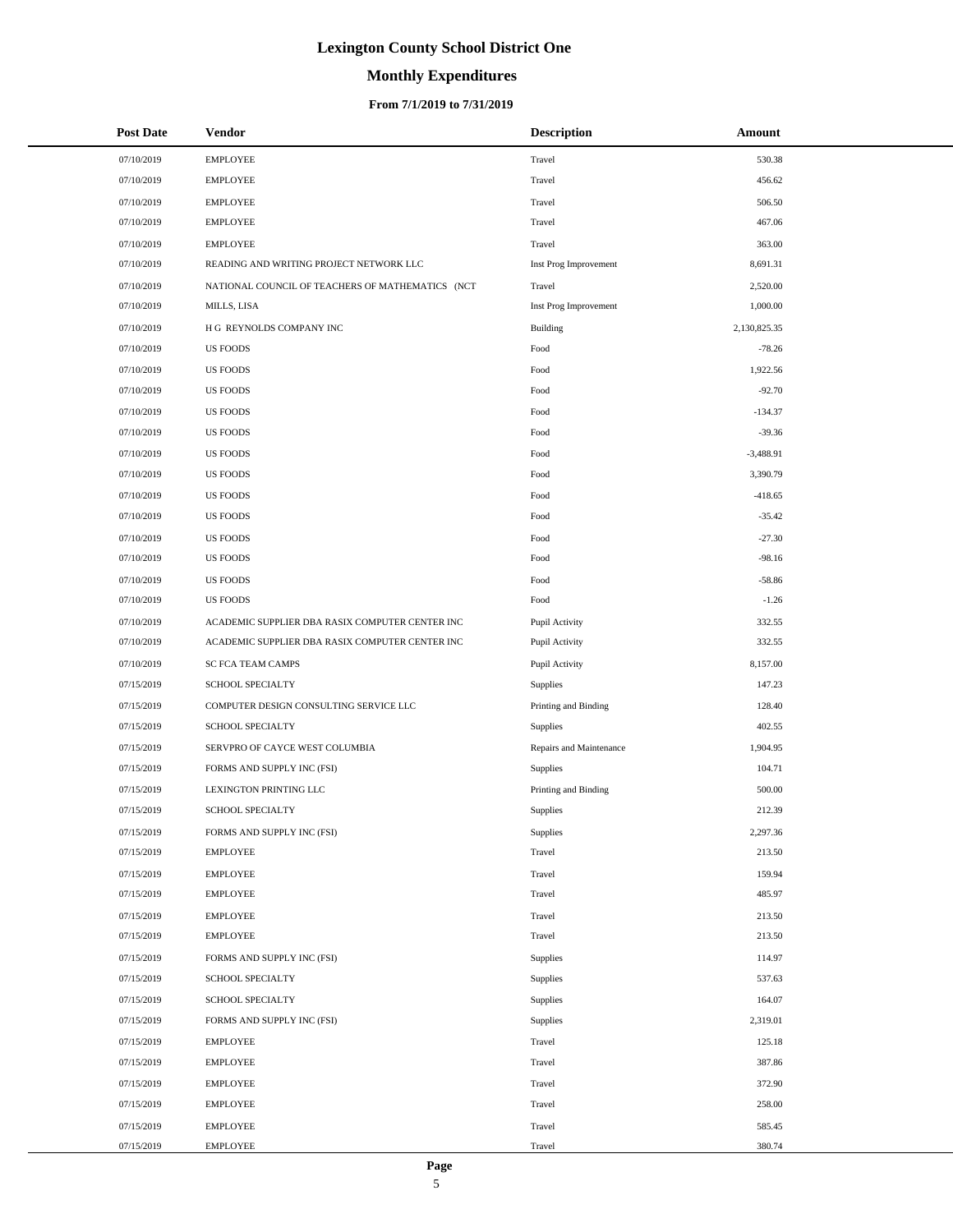# **Monthly Expenditures**

| <b>Post Date</b> | Vendor                                           | <b>Description</b>      | Amount       |
|------------------|--------------------------------------------------|-------------------------|--------------|
| 07/10/2019       | <b>EMPLOYEE</b>                                  | Travel                  | 530.38       |
| 07/10/2019       | <b>EMPLOYEE</b>                                  | Travel                  | 456.62       |
| 07/10/2019       | <b>EMPLOYEE</b>                                  | Travel                  | 506.50       |
| 07/10/2019       | <b>EMPLOYEE</b>                                  | Travel                  | 467.06       |
| 07/10/2019       | <b>EMPLOYEE</b>                                  | Travel                  | 363.00       |
| 07/10/2019       | READING AND WRITING PROJECT NETWORK LLC          | Inst Prog Improvement   | 8,691.31     |
| 07/10/2019       | NATIONAL COUNCIL OF TEACHERS OF MATHEMATICS (NCT | Travel                  | 2,520.00     |
| 07/10/2019       | MILLS, LISA                                      | Inst Prog Improvement   | 1,000.00     |
| 07/10/2019       | H G REYNOLDS COMPANY INC                         | Building                | 2,130,825.35 |
| 07/10/2019       | <b>US FOODS</b>                                  | Food                    | $-78.26$     |
| 07/10/2019       | <b>US FOODS</b>                                  | Food                    | 1,922.56     |
| 07/10/2019       | <b>US FOODS</b>                                  | Food                    | $-92.70$     |
| 07/10/2019       | <b>US FOODS</b>                                  | Food                    | $-134.37$    |
| 07/10/2019       | <b>US FOODS</b>                                  | Food                    | $-39.36$     |
| 07/10/2019       | <b>US FOODS</b>                                  | Food                    | $-3,488.91$  |
| 07/10/2019       | <b>US FOODS</b>                                  | Food                    | 3,390.79     |
| 07/10/2019       | <b>US FOODS</b>                                  | Food                    | $-418.65$    |
| 07/10/2019       | <b>US FOODS</b>                                  | Food                    | $-35.42$     |
| 07/10/2019       | <b>US FOODS</b>                                  | Food                    | $-27.30$     |
| 07/10/2019       | <b>US FOODS</b>                                  | Food                    | $-98.16$     |
| 07/10/2019       | <b>US FOODS</b>                                  | Food                    | $-58.86$     |
| 07/10/2019       | <b>US FOODS</b>                                  | Food                    | $-1.26$      |
| 07/10/2019       | ACADEMIC SUPPLIER DBA RASIX COMPUTER CENTER INC  | Pupil Activity          | 332.55       |
| 07/10/2019       | ACADEMIC SUPPLIER DBA RASIX COMPUTER CENTER INC  | Pupil Activity          | 332.55       |
| 07/10/2019       | SC FCA TEAM CAMPS                                | Pupil Activity          | 8,157.00     |
| 07/15/2019       | SCHOOL SPECIALTY                                 | Supplies                | 147.23       |
| 07/15/2019       | COMPUTER DESIGN CONSULTING SERVICE LLC           | Printing and Binding    | 128.40       |
| 07/15/2019       | <b>SCHOOL SPECIALTY</b>                          | Supplies                | 402.55       |
| 07/15/2019       | SERVPRO OF CAYCE WEST COLUMBIA                   | Repairs and Maintenance | 1,904.95     |
| 07/15/2019       | FORMS AND SUPPLY INC (FSI)                       | Supplies                | 104.71       |
| 07/15/2019       | LEXINGTON PRINTING LLC                           | Printing and Binding    | 500.00       |
| 07/15/2019       | <b>SCHOOL SPECIALTY</b>                          | <b>Supplies</b>         | 212.39       |
| 07/15/2019       | FORMS AND SUPPLY INC (FSI)                       | Supplies                | 2,297.36     |
| 07/15/2019       | <b>EMPLOYEE</b>                                  | Travel                  | 213.50       |
| 07/15/2019       | <b>EMPLOYEE</b>                                  | Travel                  | 159.94       |
| 07/15/2019       | EMPLOYEE                                         | Travel                  | 485.97       |
| 07/15/2019       | <b>EMPLOYEE</b>                                  | Travel                  | 213.50       |
| 07/15/2019       | <b>EMPLOYEE</b>                                  | Travel                  | 213.50       |
| 07/15/2019       | FORMS AND SUPPLY INC (FSI)                       | Supplies                | 114.97       |
| 07/15/2019       | SCHOOL SPECIALTY                                 | Supplies                | 537.63       |
| 07/15/2019       | SCHOOL SPECIALTY                                 | Supplies                | 164.07       |
| 07/15/2019       | FORMS AND SUPPLY INC (FSI)                       | Supplies                | 2,319.01     |
| 07/15/2019       | <b>EMPLOYEE</b>                                  | Travel                  | 125.18       |
| 07/15/2019       | <b>EMPLOYEE</b>                                  | Travel                  | 387.86       |
| 07/15/2019       | EMPLOYEE                                         | Travel                  | 372.90       |
| 07/15/2019       | EMPLOYEE                                         | Travel                  | 258.00       |
| 07/15/2019       | <b>EMPLOYEE</b>                                  | Travel                  | 585.45       |
| 07/15/2019       | <b>EMPLOYEE</b>                                  | Travel                  | 380.74       |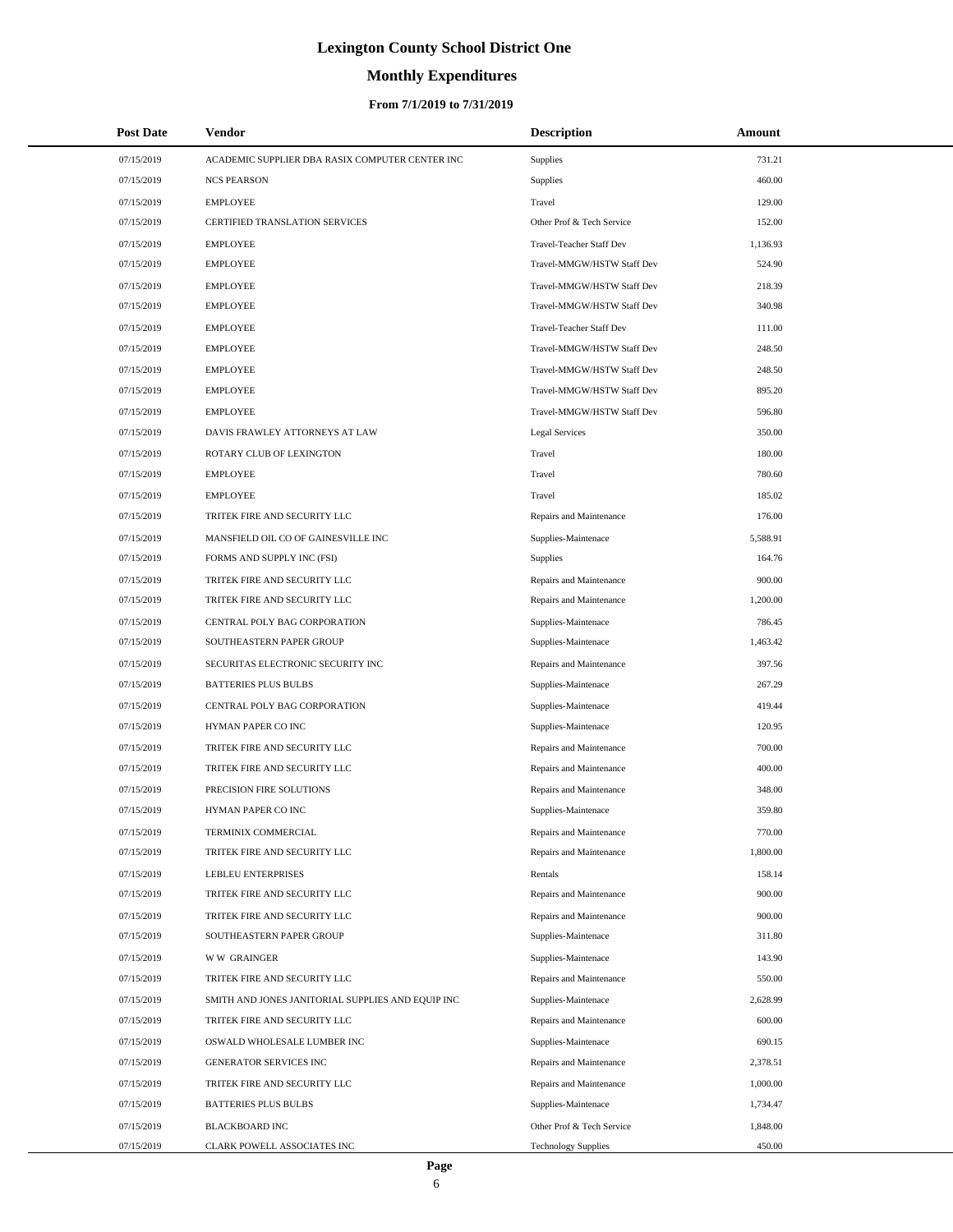# **Monthly Expenditures**

#### **From 7/1/2019 to 7/31/2019**

| <b>Post Date</b> | Vendor                                            | <b>Description</b>              | Amount   |
|------------------|---------------------------------------------------|---------------------------------|----------|
| 07/15/2019       | ACADEMIC SUPPLIER DBA RASIX COMPUTER CENTER INC   | Supplies                        | 731.21   |
| 07/15/2019       | <b>NCS PEARSON</b>                                | Supplies                        | 460.00   |
| 07/15/2019       | <b>EMPLOYEE</b>                                   | Travel                          | 129.00   |
| 07/15/2019       | CERTIFIED TRANSLATION SERVICES                    | Other Prof & Tech Service       | 152.00   |
| 07/15/2019       | <b>EMPLOYEE</b>                                   | Travel-Teacher Staff Dev        | 1,136.93 |
| 07/15/2019       | <b>EMPLOYEE</b>                                   | Travel-MMGW/HSTW Staff Dev      | 524.90   |
| 07/15/2019       | <b>EMPLOYEE</b>                                   | Travel-MMGW/HSTW Staff Dev      | 218.39   |
| 07/15/2019       | <b>EMPLOYEE</b>                                   | Travel-MMGW/HSTW Staff Dev      | 340.98   |
| 07/15/2019       | <b>EMPLOYEE</b>                                   | <b>Travel-Teacher Staff Dev</b> | 111.00   |
| 07/15/2019       | <b>EMPLOYEE</b>                                   | Travel-MMGW/HSTW Staff Dev      | 248.50   |
| 07/15/2019       | <b>EMPLOYEE</b>                                   | Travel-MMGW/HSTW Staff Dev      | 248.50   |
| 07/15/2019       | <b>EMPLOYEE</b>                                   | Travel-MMGW/HSTW Staff Dev      | 895.20   |
| 07/15/2019       | <b>EMPLOYEE</b>                                   | Travel-MMGW/HSTW Staff Dev      | 596.80   |
| 07/15/2019       | DAVIS FRAWLEY ATTORNEYS AT LAW                    | <b>Legal Services</b>           | 350.00   |
| 07/15/2019       | ROTARY CLUB OF LEXINGTON                          | Travel                          | 180.00   |
| 07/15/2019       | <b>EMPLOYEE</b>                                   | Travel                          | 780.60   |
| 07/15/2019       | <b>EMPLOYEE</b>                                   | Travel                          | 185.02   |
| 07/15/2019       | TRITEK FIRE AND SECURITY LLC                      | Repairs and Maintenance         | 176.00   |
| 07/15/2019       | MANSFIELD OIL CO OF GAINESVILLE INC               | Supplies-Maintenace             | 5,588.91 |
| 07/15/2019       | FORMS AND SUPPLY INC (FSI)                        | <b>Supplies</b>                 | 164.76   |
| 07/15/2019       | TRITEK FIRE AND SECURITY LLC                      | Repairs and Maintenance         | 900.00   |
| 07/15/2019       | TRITEK FIRE AND SECURITY LLC                      | Repairs and Maintenance         | 1,200.00 |
| 07/15/2019       | CENTRAL POLY BAG CORPORATION                      | Supplies-Maintenace             | 786.45   |
| 07/15/2019       | SOUTHEASTERN PAPER GROUP                          | Supplies-Maintenace             | 1,463.42 |
| 07/15/2019       | SECURITAS ELECTRONIC SECURITY INC                 | Repairs and Maintenance         | 397.56   |
| 07/15/2019       | <b>BATTERIES PLUS BULBS</b>                       | Supplies-Maintenace             | 267.29   |
| 07/15/2019       | CENTRAL POLY BAG CORPORATION                      | Supplies-Maintenace             | 419.44   |
| 07/15/2019       | HYMAN PAPER CO INC                                | Supplies-Maintenace             | 120.95   |
| 07/15/2019       | TRITEK FIRE AND SECURITY LLC                      | Repairs and Maintenance         | 700.00   |
| 07/15/2019       | TRITEK FIRE AND SECURITY LLC                      | Repairs and Maintenance         | 400.00   |
| 07/15/2019       | PRECISION FIRE SOLUTIONS                          | Repairs and Maintenance         | 348.00   |
| 07/15/2019       | HYMAN PAPER CO INC                                | Supplies-Maintenace             | 359.80   |
| 07/15/2019       | TERMINIX COMMERCIAL                               | Repairs and Maintenance         | 770.00   |
| 07/15/2019       | TRITEK FIRE AND SECURITY LLC                      | Repairs and Maintenance         | 1,800.00 |
| 07/15/2019       | LEBLEU ENTERPRISES                                | Rentals                         | 158.14   |
| 07/15/2019       | TRITEK FIRE AND SECURITY LLC                      | Repairs and Maintenance         | 900.00   |
| 07/15/2019       | TRITEK FIRE AND SECURITY LLC                      | Repairs and Maintenance         | 900.00   |
| 07/15/2019       | SOUTHEASTERN PAPER GROUP                          | Supplies-Maintenace             | 311.80   |
| 07/15/2019       | <b>WW GRAINGER</b>                                | Supplies-Maintenace             | 143.90   |
| 07/15/2019       | TRITEK FIRE AND SECURITY LLC                      | Repairs and Maintenance         | 550.00   |
| 07/15/2019       | SMITH AND JONES JANITORIAL SUPPLIES AND EQUIP INC | Supplies-Maintenace             | 2,628.99 |
| 07/15/2019       | TRITEK FIRE AND SECURITY LLC                      | Repairs and Maintenance         | 600.00   |
| 07/15/2019       | OSWALD WHOLESALE LUMBER INC                       | Supplies-Maintenace             | 690.15   |
| 07/15/2019       | GENERATOR SERVICES INC                            | Repairs and Maintenance         | 2,378.51 |
| 07/15/2019       | TRITEK FIRE AND SECURITY LLC                      | Repairs and Maintenance         | 1,000.00 |
| 07/15/2019       | <b>BATTERIES PLUS BULBS</b>                       | Supplies-Maintenace             | 1,734.47 |
| 07/15/2019       | <b>BLACKBOARD INC</b>                             | Other Prof & Tech Service       | 1,848.00 |
| 07/15/2019       | CLARK POWELL ASSOCIATES INC                       | <b>Technology Supplies</b>      | 450.00   |

÷.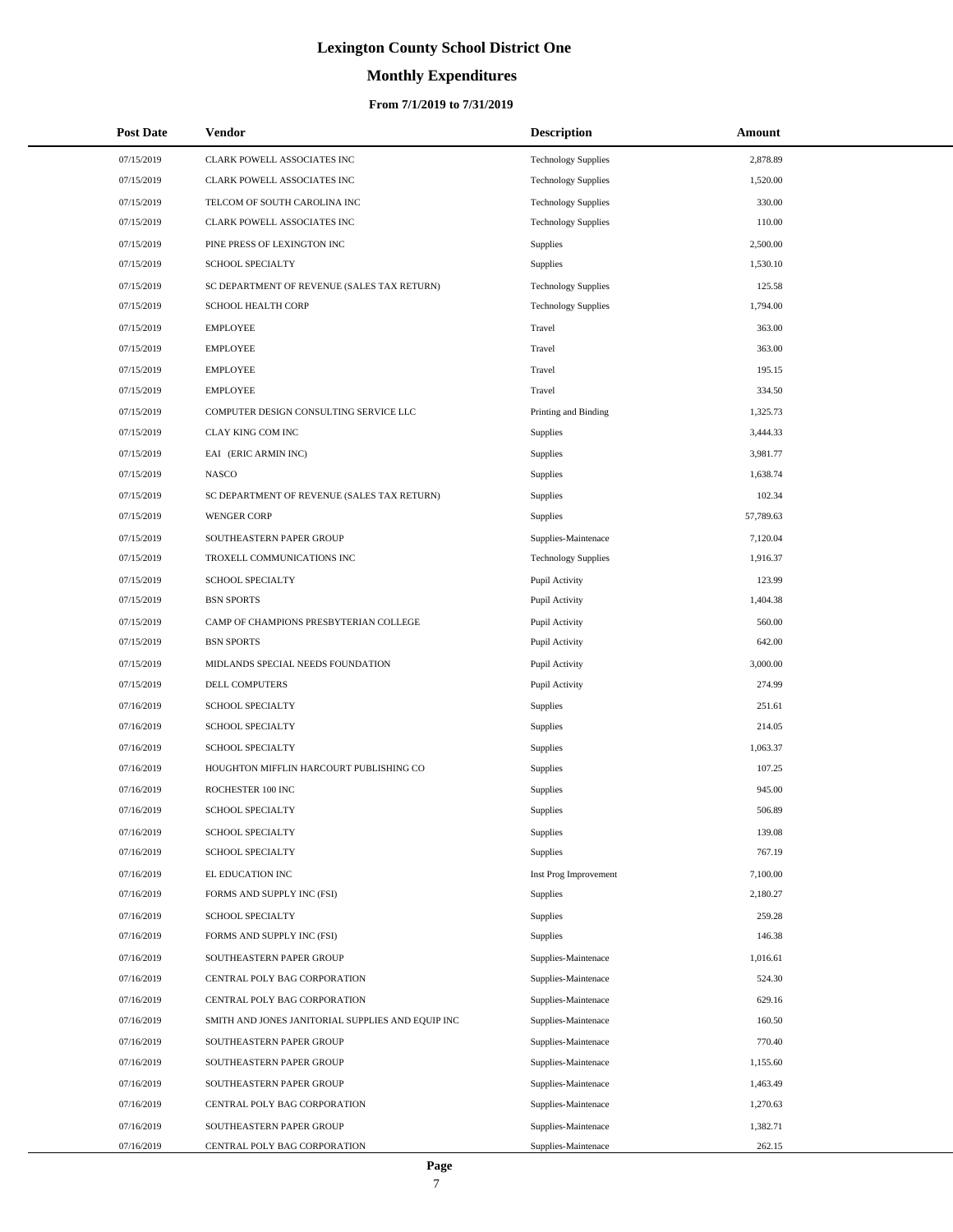# **Monthly Expenditures**

#### **From 7/1/2019 to 7/31/2019**

| <b>Post Date</b> | Vendor                                            | <b>Description</b>         | Amount    |
|------------------|---------------------------------------------------|----------------------------|-----------|
| 07/15/2019       | CLARK POWELL ASSOCIATES INC                       | <b>Technology Supplies</b> | 2,878.89  |
| 07/15/2019       | CLARK POWELL ASSOCIATES INC                       | <b>Technology Supplies</b> | 1,520.00  |
| 07/15/2019       | TELCOM OF SOUTH CAROLINA INC                      | <b>Technology Supplies</b> | 330.00    |
| 07/15/2019       | CLARK POWELL ASSOCIATES INC                       | <b>Technology Supplies</b> | 110.00    |
| 07/15/2019       | PINE PRESS OF LEXINGTON INC                       | Supplies                   | 2,500.00  |
| 07/15/2019       | <b>SCHOOL SPECIALTY</b>                           | Supplies                   | 1,530.10  |
| 07/15/2019       | SC DEPARTMENT OF REVENUE (SALES TAX RETURN)       | <b>Technology Supplies</b> | 125.58    |
| 07/15/2019       | <b>SCHOOL HEALTH CORP</b>                         | <b>Technology Supplies</b> | 1,794.00  |
| 07/15/2019       | <b>EMPLOYEE</b>                                   | Travel                     | 363.00    |
| 07/15/2019       | <b>EMPLOYEE</b>                                   | Travel                     | 363.00    |
| 07/15/2019       | <b>EMPLOYEE</b>                                   | Travel                     | 195.15    |
| 07/15/2019       | <b>EMPLOYEE</b>                                   | Travel                     | 334.50    |
| 07/15/2019       | COMPUTER DESIGN CONSULTING SERVICE LLC            | Printing and Binding       | 1,325.73  |
| 07/15/2019       | CLAY KING COM INC                                 | Supplies                   | 3,444.33  |
| 07/15/2019       | EAI (ERIC ARMIN INC)                              | Supplies                   | 3,981.77  |
| 07/15/2019       | <b>NASCO</b>                                      | Supplies                   | 1,638.74  |
| 07/15/2019       | SC DEPARTMENT OF REVENUE (SALES TAX RETURN)       | Supplies                   | 102.34    |
| 07/15/2019       | <b>WENGER CORP</b>                                | Supplies                   | 57,789.63 |
| 07/15/2019       | SOUTHEASTERN PAPER GROUP                          | Supplies-Maintenace        | 7,120.04  |
| 07/15/2019       | TROXELL COMMUNICATIONS INC                        | <b>Technology Supplies</b> | 1,916.37  |
| 07/15/2019       | <b>SCHOOL SPECIALTY</b>                           | Pupil Activity             | 123.99    |
| 07/15/2019       | <b>BSN SPORTS</b>                                 | Pupil Activity             | 1,404.38  |
| 07/15/2019       | CAMP OF CHAMPIONS PRESBYTERIAN COLLEGE            | Pupil Activity             | 560.00    |
| 07/15/2019       | <b>BSN SPORTS</b>                                 | Pupil Activity             | 642.00    |
| 07/15/2019       | MIDLANDS SPECIAL NEEDS FOUNDATION                 | Pupil Activity             | 3,000.00  |
| 07/15/2019       | DELL COMPUTERS                                    | Pupil Activity             | 274.99    |
| 07/16/2019       | <b>SCHOOL SPECIALTY</b>                           | Supplies                   | 251.61    |
| 07/16/2019       | <b>SCHOOL SPECIALTY</b>                           | Supplies                   | 214.05    |
| 07/16/2019       | <b>SCHOOL SPECIALTY</b>                           | Supplies                   | 1,063.37  |
| 07/16/2019       | HOUGHTON MIFFLIN HARCOURT PUBLISHING CO           | Supplies                   | 107.25    |
| 07/16/2019       | ROCHESTER 100 INC                                 | Supplies                   | 945.00    |
| 07/16/2019       | SCHOOL SPECIALTY                                  | Supplies                   | 506.89    |
| 07/16/2019       | SCHOOL SPECIALTY                                  | Supplies                   | 139.08    |
| 07/16/2019       | SCHOOL SPECIALTY                                  | Supplies                   | 767.19    |
| 07/16/2019       | EL EDUCATION INC                                  | Inst Prog Improvement      | 7,100.00  |
| 07/16/2019       | FORMS AND SUPPLY INC (FSI)                        | Supplies                   | 2,180.27  |
| 07/16/2019       | <b>SCHOOL SPECIALTY</b>                           | Supplies                   | 259.28    |
| 07/16/2019       | FORMS AND SUPPLY INC (FSI)                        | Supplies                   | 146.38    |
| 07/16/2019       | SOUTHEASTERN PAPER GROUP                          | Supplies-Maintenace        | 1,016.61  |
| 07/16/2019       | CENTRAL POLY BAG CORPORATION                      | Supplies-Maintenace        | 524.30    |
| 07/16/2019       | CENTRAL POLY BAG CORPORATION                      | Supplies-Maintenace        | 629.16    |
| 07/16/2019       | SMITH AND JONES JANITORIAL SUPPLIES AND EQUIP INC | Supplies-Maintenace        | 160.50    |
| 07/16/2019       | SOUTHEASTERN PAPER GROUP                          | Supplies-Maintenace        | 770.40    |
| 07/16/2019       | SOUTHEASTERN PAPER GROUP                          | Supplies-Maintenace        | 1,155.60  |
| 07/16/2019       | SOUTHEASTERN PAPER GROUP                          | Supplies-Maintenace        | 1,463.49  |
| 07/16/2019       | CENTRAL POLY BAG CORPORATION                      | Supplies-Maintenace        | 1,270.63  |
| 07/16/2019       | SOUTHEASTERN PAPER GROUP                          | Supplies-Maintenace        | 1,382.71  |
| 07/16/2019       | CENTRAL POLY BAG CORPORATION                      | Supplies-Maintenace        | 262.15    |

 $\overline{a}$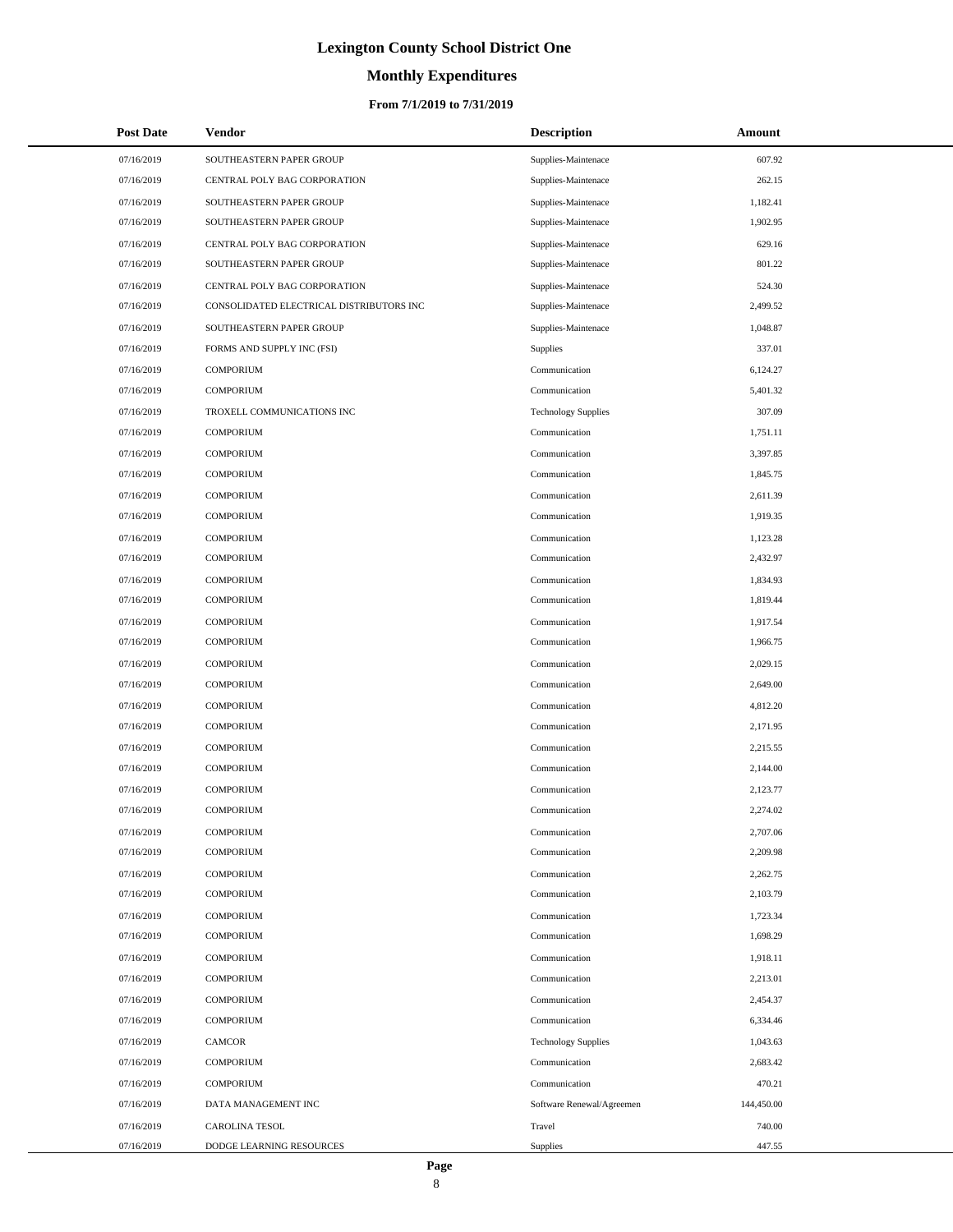# **Monthly Expenditures**

#### **From 7/1/2019 to 7/31/2019**

| <b>Post Date</b> | Vendor                                   | <b>Description</b>         | Amount     |
|------------------|------------------------------------------|----------------------------|------------|
| 07/16/2019       | SOUTHEASTERN PAPER GROUP                 | Supplies-Maintenace        | 607.92     |
| 07/16/2019       | CENTRAL POLY BAG CORPORATION             | Supplies-Maintenace        | 262.15     |
| 07/16/2019       | SOUTHEASTERN PAPER GROUP                 | Supplies-Maintenace        | 1,182.41   |
| 07/16/2019       | SOUTHEASTERN PAPER GROUP                 | Supplies-Maintenace        | 1,902.95   |
| 07/16/2019       | CENTRAL POLY BAG CORPORATION             | Supplies-Maintenace        | 629.16     |
| 07/16/2019       | SOUTHEASTERN PAPER GROUP                 | Supplies-Maintenace        | 801.22     |
| 07/16/2019       | CENTRAL POLY BAG CORPORATION             | Supplies-Maintenace        | 524.30     |
| 07/16/2019       | CONSOLIDATED ELECTRICAL DISTRIBUTORS INC | Supplies-Maintenace        | 2,499.52   |
| 07/16/2019       | SOUTHEASTERN PAPER GROUP                 | Supplies-Maintenace        | 1,048.87   |
| 07/16/2019       | FORMS AND SUPPLY INC (FSI)               | Supplies                   | 337.01     |
| 07/16/2019       | <b>COMPORIUM</b>                         | Communication              | 6,124.27   |
| 07/16/2019       | <b>COMPORIUM</b>                         | Communication              | 5,401.32   |
| 07/16/2019       | TROXELL COMMUNICATIONS INC               | <b>Technology Supplies</b> | 307.09     |
| 07/16/2019       | <b>COMPORIUM</b>                         | Communication              | 1,751.11   |
| 07/16/2019       | <b>COMPORIUM</b>                         | Communication              | 3,397.85   |
| 07/16/2019       | <b>COMPORIUM</b>                         | Communication              | 1,845.75   |
| 07/16/2019       | <b>COMPORIUM</b>                         | Communication              | 2,611.39   |
| 07/16/2019       | <b>COMPORIUM</b>                         | Communication              | 1,919.35   |
| 07/16/2019       | <b>COMPORIUM</b>                         | Communication              | 1,123.28   |
| 07/16/2019       | <b>COMPORIUM</b>                         | Communication              | 2,432.97   |
| 07/16/2019       | <b>COMPORIUM</b>                         | Communication              | 1,834.93   |
| 07/16/2019       | <b>COMPORIUM</b>                         | Communication              | 1,819.44   |
| 07/16/2019       | <b>COMPORIUM</b>                         | Communication              | 1,917.54   |
| 07/16/2019       | <b>COMPORIUM</b>                         | Communication              | 1,966.75   |
| 07/16/2019       | <b>COMPORIUM</b>                         | Communication              | 2,029.15   |
| 07/16/2019       | <b>COMPORIUM</b>                         | Communication              | 2,649.00   |
| 07/16/2019       | <b>COMPORIUM</b>                         | Communication              | 4,812.20   |
| 07/16/2019       | <b>COMPORIUM</b>                         | Communication              | 2,171.95   |
| 07/16/2019       | <b>COMPORIUM</b>                         | Communication              | 2,215.55   |
| 07/16/2019       | <b>COMPORIUM</b>                         | Communication              | 2,144.00   |
| 07/16/2019       | <b>COMPORIUM</b>                         | Communication              | 2,123.77   |
| 07/16/2019       | <b>COMPORIUM</b>                         | Communication              | 2,274.02   |
| 07/16/2019       | <b>COMPORIUM</b>                         | Communication              | 2,707.06   |
| 07/16/2019       | <b>COMPORIUM</b>                         | Communication              | 2,209.98   |
| 07/16/2019       | <b>COMPORIUM</b>                         | Communication              | 2,262.75   |
| 07/16/2019       | <b>COMPORIUM</b>                         | Communication              | 2,103.79   |
| 07/16/2019       | <b>COMPORIUM</b>                         | Communication              | 1,723.34   |
| 07/16/2019       | <b>COMPORIUM</b>                         | Communication              | 1,698.29   |
| 07/16/2019       | <b>COMPORIUM</b>                         | Communication              | 1,918.11   |
| 07/16/2019       | <b>COMPORIUM</b>                         | Communication              | 2,213.01   |
| 07/16/2019       | <b>COMPORIUM</b>                         | Communication              | 2,454.37   |
| 07/16/2019       | <b>COMPORIUM</b>                         | Communication              | 6,334.46   |
| 07/16/2019       | <b>CAMCOR</b>                            | <b>Technology Supplies</b> | 1,043.63   |
| 07/16/2019       | <b>COMPORIUM</b>                         | Communication              | 2,683.42   |
| 07/16/2019       | <b>COMPORIUM</b>                         | Communication              | 470.21     |
| 07/16/2019       | DATA MANAGEMENT INC                      | Software Renewal/Agreemen  | 144,450.00 |
| 07/16/2019       | <b>CAROLINA TESOL</b>                    | Travel                     | 740.00     |
| 07/16/2019       | DODGE LEARNING RESOURCES                 | Supplies                   | 447.55     |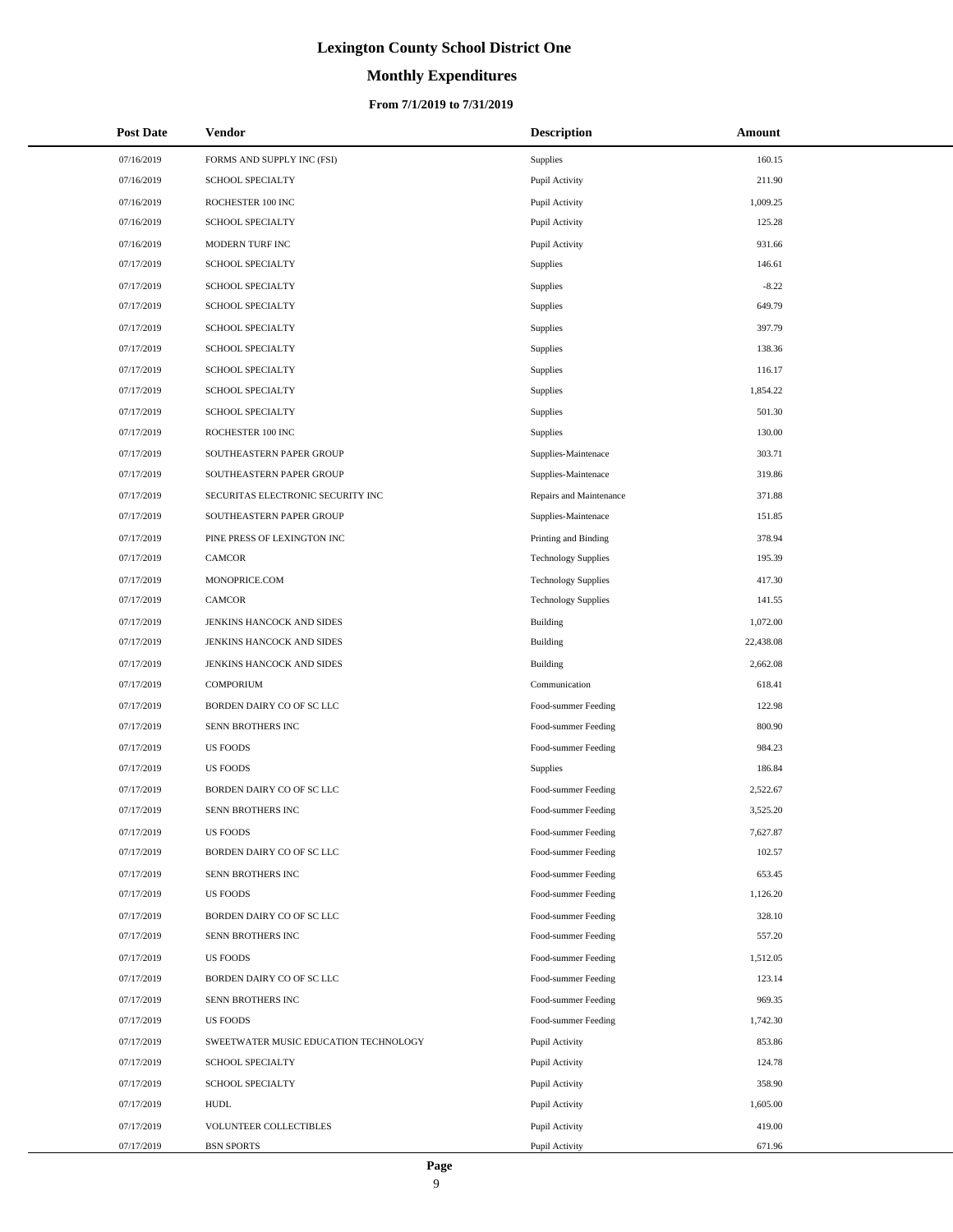#### **Monthly Expenditures**

#### **From 7/1/2019 to 7/31/2019**

| <b>Post Date</b> | <b>Vendor</b>                         | <b>Description</b>         | Amount    |
|------------------|---------------------------------------|----------------------------|-----------|
| 07/16/2019       | FORMS AND SUPPLY INC (FSI)            | Supplies                   | 160.15    |
| 07/16/2019       | <b>SCHOOL SPECIALTY</b>               | Pupil Activity             | 211.90    |
| 07/16/2019       | ROCHESTER 100 INC                     | Pupil Activity             | 1,009.25  |
| 07/16/2019       | <b>SCHOOL SPECIALTY</b>               | Pupil Activity             | 125.28    |
| 07/16/2019       | MODERN TURF INC                       | Pupil Activity             | 931.66    |
| 07/17/2019       | <b>SCHOOL SPECIALTY</b>               | Supplies                   | 146.61    |
| 07/17/2019       | <b>SCHOOL SPECIALTY</b>               | Supplies                   | $-8.22$   |
| 07/17/2019       | <b>SCHOOL SPECIALTY</b>               | Supplies                   | 649.79    |
| 07/17/2019       | <b>SCHOOL SPECIALTY</b>               | Supplies                   | 397.79    |
| 07/17/2019       | <b>SCHOOL SPECIALTY</b>               | Supplies                   | 138.36    |
| 07/17/2019       | <b>SCHOOL SPECIALTY</b>               | Supplies                   | 116.17    |
| 07/17/2019       | <b>SCHOOL SPECIALTY</b>               | Supplies                   | 1,854.22  |
| 07/17/2019       | <b>SCHOOL SPECIALTY</b>               | Supplies                   | 501.30    |
| 07/17/2019       | ROCHESTER 100 INC                     | Supplies                   | 130.00    |
| 07/17/2019       | SOUTHEASTERN PAPER GROUP              | Supplies-Maintenace        | 303.71    |
| 07/17/2019       | SOUTHEASTERN PAPER GROUP              | Supplies-Maintenace        | 319.86    |
| 07/17/2019       | SECURITAS ELECTRONIC SECURITY INC     | Repairs and Maintenance    | 371.88    |
| 07/17/2019       | SOUTHEASTERN PAPER GROUP              | Supplies-Maintenace        | 151.85    |
| 07/17/2019       | PINE PRESS OF LEXINGTON INC           | Printing and Binding       | 378.94    |
| 07/17/2019       | <b>CAMCOR</b>                         | <b>Technology Supplies</b> | 195.39    |
| 07/17/2019       | MONOPRICE.COM                         | <b>Technology Supplies</b> | 417.30    |
| 07/17/2019       | <b>CAMCOR</b>                         | <b>Technology Supplies</b> | 141.55    |
| 07/17/2019       | JENKINS HANCOCK AND SIDES             | Building                   | 1,072.00  |
| 07/17/2019       | JENKINS HANCOCK AND SIDES             | Building                   | 22,438.08 |
| 07/17/2019       | JENKINS HANCOCK AND SIDES             | Building                   | 2,662.08  |
| 07/17/2019       | <b>COMPORIUM</b>                      | Communication              | 618.41    |
| 07/17/2019       | BORDEN DAIRY CO OF SC LLC             | Food-summer Feeding        | 122.98    |
| 07/17/2019       | SENN BROTHERS INC                     | Food-summer Feeding        | 800.90    |
| 07/17/2019       | <b>US FOODS</b>                       | Food-summer Feeding        | 984.23    |
| 07/17/2019       | <b>US FOODS</b>                       | Supplies                   | 186.84    |
| 07/17/2019       | BORDEN DAIRY CO OF SC LLC             | Food-summer Feeding        | 2,522.67  |
| 07/17/2019       | SENN BROTHERS INC                     | Food-summer Feeding        | 3,525.20  |
| 07/17/2019       | <b>US FOODS</b>                       | Food-summer Feeding        | 7,627.87  |
| 07/17/2019       | BORDEN DAIRY CO OF SC LLC             | Food-summer Feeding        | 102.57    |
| 07/17/2019       | SENN BROTHERS INC                     | Food-summer Feeding        | 653.45    |
| 07/17/2019       | <b>US FOODS</b>                       | Food-summer Feeding        | 1,126.20  |
| 07/17/2019       | BORDEN DAIRY CO OF SC LLC             | Food-summer Feeding        | 328.10    |
| 07/17/2019       | SENN BROTHERS INC                     | Food-summer Feeding        | 557.20    |
| 07/17/2019       | <b>US FOODS</b>                       | Food-summer Feeding        | 1,512.05  |
| 07/17/2019       | BORDEN DAIRY CO OF SC LLC             | Food-summer Feeding        | 123.14    |
| 07/17/2019       | SENN BROTHERS INC                     | Food-summer Feeding        | 969.35    |
| 07/17/2019       | <b>US FOODS</b>                       | Food-summer Feeding        | 1,742.30  |
| 07/17/2019       | SWEETWATER MUSIC EDUCATION TECHNOLOGY | Pupil Activity             | 853.86    |
| 07/17/2019       | <b>SCHOOL SPECIALTY</b>               | Pupil Activity             | 124.78    |
| 07/17/2019       | <b>SCHOOL SPECIALTY</b>               | Pupil Activity             | 358.90    |
| 07/17/2019       | <b>HUDL</b>                           | Pupil Activity             | 1,605.00  |
| 07/17/2019       | VOLUNTEER COLLECTIBLES                | Pupil Activity             | 419.00    |
| 07/17/2019       | <b>BSN SPORTS</b>                     | Pupil Activity             | 671.96    |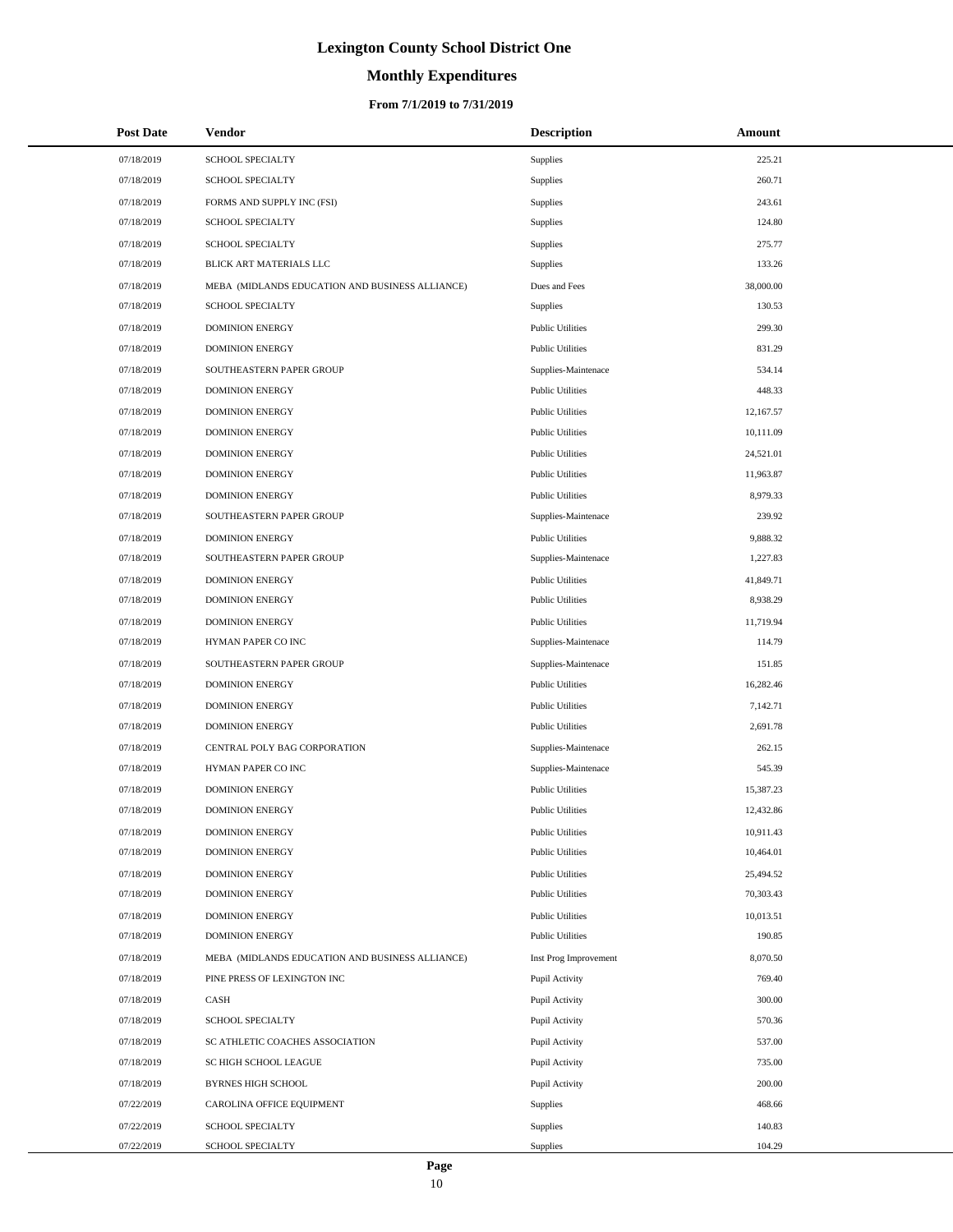# **Monthly Expenditures**

#### **From 7/1/2019 to 7/31/2019**

| <b>Post Date</b> | Vendor                                          | <b>Description</b>      | Amount    |
|------------------|-------------------------------------------------|-------------------------|-----------|
| 07/18/2019       | <b>SCHOOL SPECIALTY</b>                         | <b>Supplies</b>         | 225.21    |
| 07/18/2019       | <b>SCHOOL SPECIALTY</b>                         | Supplies                | 260.71    |
| 07/18/2019       | FORMS AND SUPPLY INC (FSI)                      | Supplies                | 243.61    |
| 07/18/2019       | <b>SCHOOL SPECIALTY</b>                         | <b>Supplies</b>         | 124.80    |
| 07/18/2019       | <b>SCHOOL SPECIALTY</b>                         | Supplies                | 275.77    |
| 07/18/2019       | BLICK ART MATERIALS LLC                         | Supplies                | 133.26    |
| 07/18/2019       | MEBA (MIDLANDS EDUCATION AND BUSINESS ALLIANCE) | Dues and Fees           | 38,000.00 |
| 07/18/2019       | <b>SCHOOL SPECIALTY</b>                         | <b>Supplies</b>         | 130.53    |
| 07/18/2019       | <b>DOMINION ENERGY</b>                          | <b>Public Utilities</b> | 299.30    |
| 07/18/2019       | <b>DOMINION ENERGY</b>                          | <b>Public Utilities</b> | 831.29    |
| 07/18/2019       | SOUTHEASTERN PAPER GROUP                        | Supplies-Maintenace     | 534.14    |
| 07/18/2019       | <b>DOMINION ENERGY</b>                          | <b>Public Utilities</b> | 448.33    |
| 07/18/2019       | <b>DOMINION ENERGY</b>                          | <b>Public Utilities</b> | 12,167.57 |
| 07/18/2019       | <b>DOMINION ENERGY</b>                          | <b>Public Utilities</b> | 10,111.09 |
| 07/18/2019       | <b>DOMINION ENERGY</b>                          | <b>Public Utilities</b> | 24,521.01 |
| 07/18/2019       | <b>DOMINION ENERGY</b>                          | <b>Public Utilities</b> | 11,963.87 |
| 07/18/2019       | <b>DOMINION ENERGY</b>                          | <b>Public Utilities</b> | 8,979.33  |
| 07/18/2019       | SOUTHEASTERN PAPER GROUP                        | Supplies-Maintenace     | 239.92    |
| 07/18/2019       | <b>DOMINION ENERGY</b>                          | <b>Public Utilities</b> | 9,888.32  |
| 07/18/2019       | SOUTHEASTERN PAPER GROUP                        | Supplies-Maintenace     | 1,227.83  |
| 07/18/2019       | <b>DOMINION ENERGY</b>                          | <b>Public Utilities</b> | 41,849.71 |
| 07/18/2019       | <b>DOMINION ENERGY</b>                          | <b>Public Utilities</b> | 8,938.29  |
| 07/18/2019       | <b>DOMINION ENERGY</b>                          | <b>Public Utilities</b> | 11,719.94 |
| 07/18/2019       | HYMAN PAPER CO INC                              | Supplies-Maintenace     | 114.79    |
| 07/18/2019       | SOUTHEASTERN PAPER GROUP                        | Supplies-Maintenace     | 151.85    |
| 07/18/2019       | <b>DOMINION ENERGY</b>                          | <b>Public Utilities</b> | 16,282.46 |
| 07/18/2019       | <b>DOMINION ENERGY</b>                          | <b>Public Utilities</b> | 7,142.71  |
| 07/18/2019       | <b>DOMINION ENERGY</b>                          | <b>Public Utilities</b> | 2.691.78  |
| 07/18/2019       | CENTRAL POLY BAG CORPORATION                    | Supplies-Maintenace     | 262.15    |
| 07/18/2019       | HYMAN PAPER CO INC                              | Supplies-Maintenace     | 545.39    |
| 07/18/2019       | <b>DOMINION ENERGY</b>                          | <b>Public Utilities</b> | 15,387.23 |
| 07/18/2019       | <b>DOMINION ENERGY</b>                          | <b>Public Utilities</b> | 12,432.86 |
| 07/18/2019       | <b>DOMINION ENERGY</b>                          | <b>Public Utilities</b> | 10,911.43 |
| 07/18/2019       | <b>DOMINION ENERGY</b>                          | <b>Public Utilities</b> | 10,464.01 |
| 07/18/2019       | <b>DOMINION ENERGY</b>                          | <b>Public Utilities</b> | 25,494.52 |
| 07/18/2019       | <b>DOMINION ENERGY</b>                          | <b>Public Utilities</b> | 70,303.43 |
| 07/18/2019       | <b>DOMINION ENERGY</b>                          | <b>Public Utilities</b> | 10,013.51 |
| 07/18/2019       | <b>DOMINION ENERGY</b>                          | <b>Public Utilities</b> | 190.85    |
| 07/18/2019       | MEBA (MIDLANDS EDUCATION AND BUSINESS ALLIANCE) | Inst Prog Improvement   | 8,070.50  |
| 07/18/2019       | PINE PRESS OF LEXINGTON INC                     | Pupil Activity          | 769.40    |
| 07/18/2019       | CASH                                            | Pupil Activity          | 300.00    |
| 07/18/2019       | SCHOOL SPECIALTY                                | Pupil Activity          | 570.36    |
| 07/18/2019       | SC ATHLETIC COACHES ASSOCIATION                 | Pupil Activity          | 537.00    |
| 07/18/2019       | SC HIGH SCHOOL LEAGUE                           | Pupil Activity          | 735.00    |
| 07/18/2019       | <b>BYRNES HIGH SCHOOL</b>                       | Pupil Activity          | 200.00    |
| 07/22/2019       | CAROLINA OFFICE EQUIPMENT                       | <b>Supplies</b>         | 468.66    |
| 07/22/2019       | <b>SCHOOL SPECIALTY</b>                         | Supplies                | 140.83    |
| 07/22/2019       | <b>SCHOOL SPECIALTY</b>                         | Supplies                | 104.29    |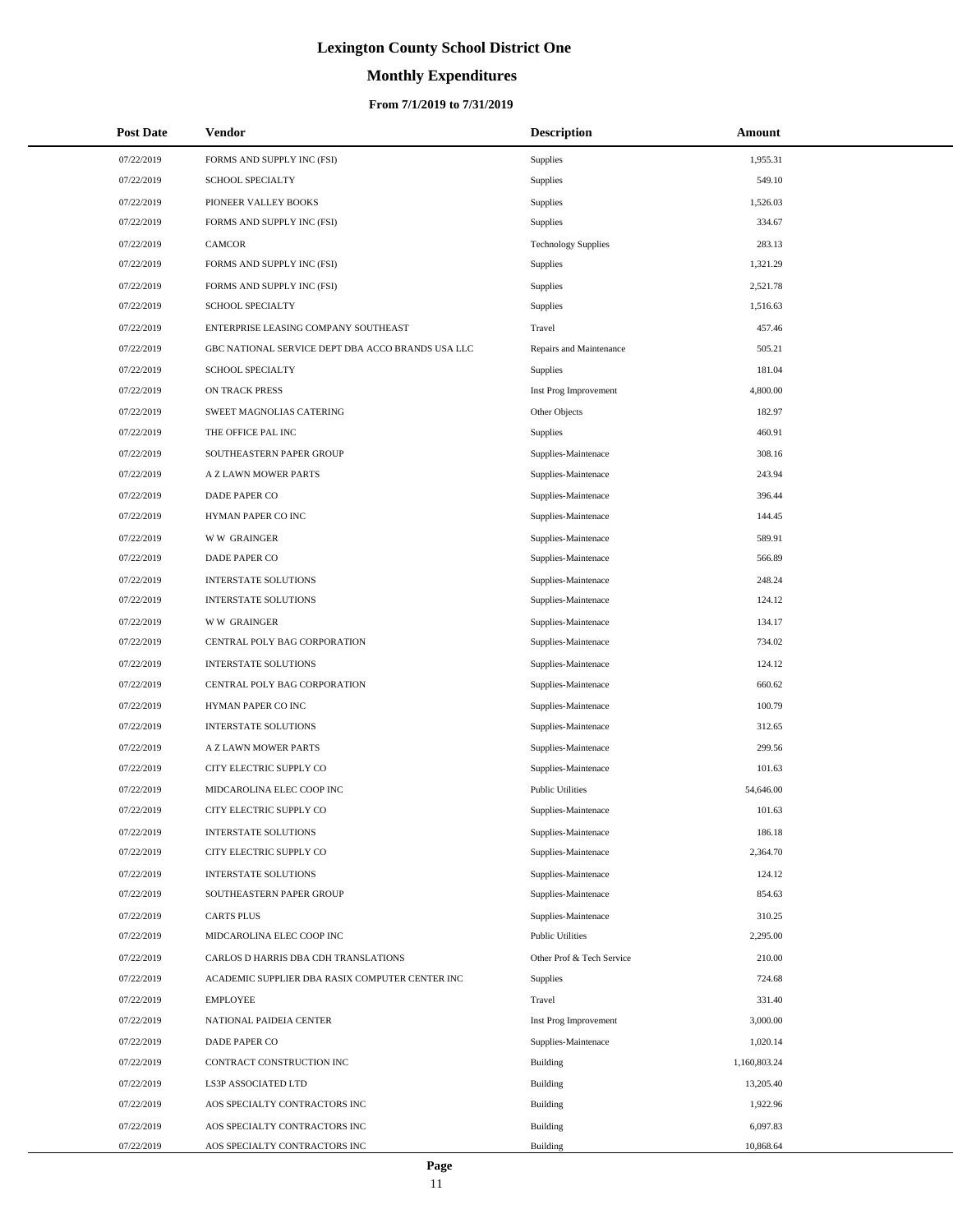# **Monthly Expenditures**

#### **From 7/1/2019 to 7/31/2019**

| <b>Post Date</b> | Vendor                                            | <b>Description</b>         | Amount       |
|------------------|---------------------------------------------------|----------------------------|--------------|
| 07/22/2019       | FORMS AND SUPPLY INC (FSI)                        | <b>Supplies</b>            | 1,955.31     |
| 07/22/2019       | SCHOOL SPECIALTY                                  | Supplies                   | 549.10       |
| 07/22/2019       | PIONEER VALLEY BOOKS                              | <b>Supplies</b>            | 1,526.03     |
| 07/22/2019       | FORMS AND SUPPLY INC (FSI)                        | Supplies                   | 334.67       |
| 07/22/2019       | <b>CAMCOR</b>                                     | <b>Technology Supplies</b> | 283.13       |
| 07/22/2019       | FORMS AND SUPPLY INC (FSI)                        | Supplies                   | 1,321.29     |
| 07/22/2019       | FORMS AND SUPPLY INC (FSI)                        | Supplies                   | 2,521.78     |
| 07/22/2019       | SCHOOL SPECIALTY                                  | Supplies                   | 1,516.63     |
| 07/22/2019       | ENTERPRISE LEASING COMPANY SOUTHEAST              | Travel                     | 457.46       |
| 07/22/2019       | GBC NATIONAL SERVICE DEPT DBA ACCO BRANDS USA LLC | Repairs and Maintenance    | 505.21       |
| 07/22/2019       | SCHOOL SPECIALTY                                  | <b>Supplies</b>            | 181.04       |
| 07/22/2019       | ON TRACK PRESS                                    | Inst Prog Improvement      | 4,800.00     |
| 07/22/2019       | SWEET MAGNOLIAS CATERING                          | Other Objects              | 182.97       |
| 07/22/2019       | THE OFFICE PAL INC                                | Supplies                   | 460.91       |
| 07/22/2019       | SOUTHEASTERN PAPER GROUP                          | Supplies-Maintenace        | 308.16       |
| 07/22/2019       | A Z LAWN MOWER PARTS                              | Supplies-Maintenace        | 243.94       |
| 07/22/2019       | DADE PAPER CO                                     | Supplies-Maintenace        | 396.44       |
| 07/22/2019       | HYMAN PAPER CO INC                                | Supplies-Maintenace        | 144.45       |
| 07/22/2019       | <b>WW GRAINGER</b>                                | Supplies-Maintenace        | 589.91       |
| 07/22/2019       | DADE PAPER CO                                     | Supplies-Maintenace        | 566.89       |
| 07/22/2019       | <b>INTERSTATE SOLUTIONS</b>                       | Supplies-Maintenace        | 248.24       |
| 07/22/2019       | <b>INTERSTATE SOLUTIONS</b>                       | Supplies-Maintenace        | 124.12       |
| 07/22/2019       | <b>WW GRAINGER</b>                                | Supplies-Maintenace        | 134.17       |
| 07/22/2019       | CENTRAL POLY BAG CORPORATION                      | Supplies-Maintenace        | 734.02       |
| 07/22/2019       | <b>INTERSTATE SOLUTIONS</b>                       | Supplies-Maintenace        | 124.12       |
| 07/22/2019       | CENTRAL POLY BAG CORPORATION                      | Supplies-Maintenace        | 660.62       |
| 07/22/2019       | HYMAN PAPER CO INC                                | Supplies-Maintenace        | 100.79       |
| 07/22/2019       | <b>INTERSTATE SOLUTIONS</b>                       | Supplies-Maintenace        | 312.65       |
| 07/22/2019       | <b>A Z LAWN MOWER PARTS</b>                       | Supplies-Maintenace        | 299.56       |
| 07/22/2019       | CITY ELECTRIC SUPPLY CO                           | Supplies-Maintenace        | 101.63       |
| 07/22/2019       | MIDCAROLINA ELEC COOP INC                         | <b>Public Utilities</b>    | 54,646.00    |
| 07/22/2019       | CITY ELECTRIC SUPPLY CO                           | Supplies-Maintenace        | 101.63       |
| 07/22/2019       | INTERSTATE SOLUTIONS                              | Supplies-Maintenace        | 186.18       |
| 07/22/2019       | CITY ELECTRIC SUPPLY CO                           | Supplies-Maintenace        | 2,364.70     |
| 07/22/2019       | <b>INTERSTATE SOLUTIONS</b>                       | Supplies-Maintenace        | 124.12       |
| 07/22/2019       | SOUTHEASTERN PAPER GROUP                          | Supplies-Maintenace        | 854.63       |
| 07/22/2019       | <b>CARTS PLUS</b>                                 | Supplies-Maintenace        | 310.25       |
| 07/22/2019       | MIDCAROLINA ELEC COOP INC                         | <b>Public Utilities</b>    | 2,295.00     |
| 07/22/2019       | CARLOS D HARRIS DBA CDH TRANSLATIONS              | Other Prof & Tech Service  | 210.00       |
| 07/22/2019       | ACADEMIC SUPPLIER DBA RASIX COMPUTER CENTER INC   | <b>Supplies</b>            | 724.68       |
| 07/22/2019       | <b>EMPLOYEE</b>                                   | Travel                     | 331.40       |
| 07/22/2019       | NATIONAL PAIDEIA CENTER                           | Inst Prog Improvement      | 3,000.00     |
| 07/22/2019       | DADE PAPER CO                                     | Supplies-Maintenace        | 1,020.14     |
| 07/22/2019       | CONTRACT CONSTRUCTION INC                         | <b>Building</b>            | 1,160,803.24 |
| 07/22/2019       | LS3P ASSOCIATED LTD                               | <b>Building</b>            | 13,205.40    |
| 07/22/2019       | AOS SPECIALTY CONTRACTORS INC                     | <b>Building</b>            | 1,922.96     |
| 07/22/2019       | AOS SPECIALTY CONTRACTORS INC                     | <b>Building</b>            | 6,097.83     |
| 07/22/2019       | AOS SPECIALTY CONTRACTORS INC                     | Building                   | 10,868.64    |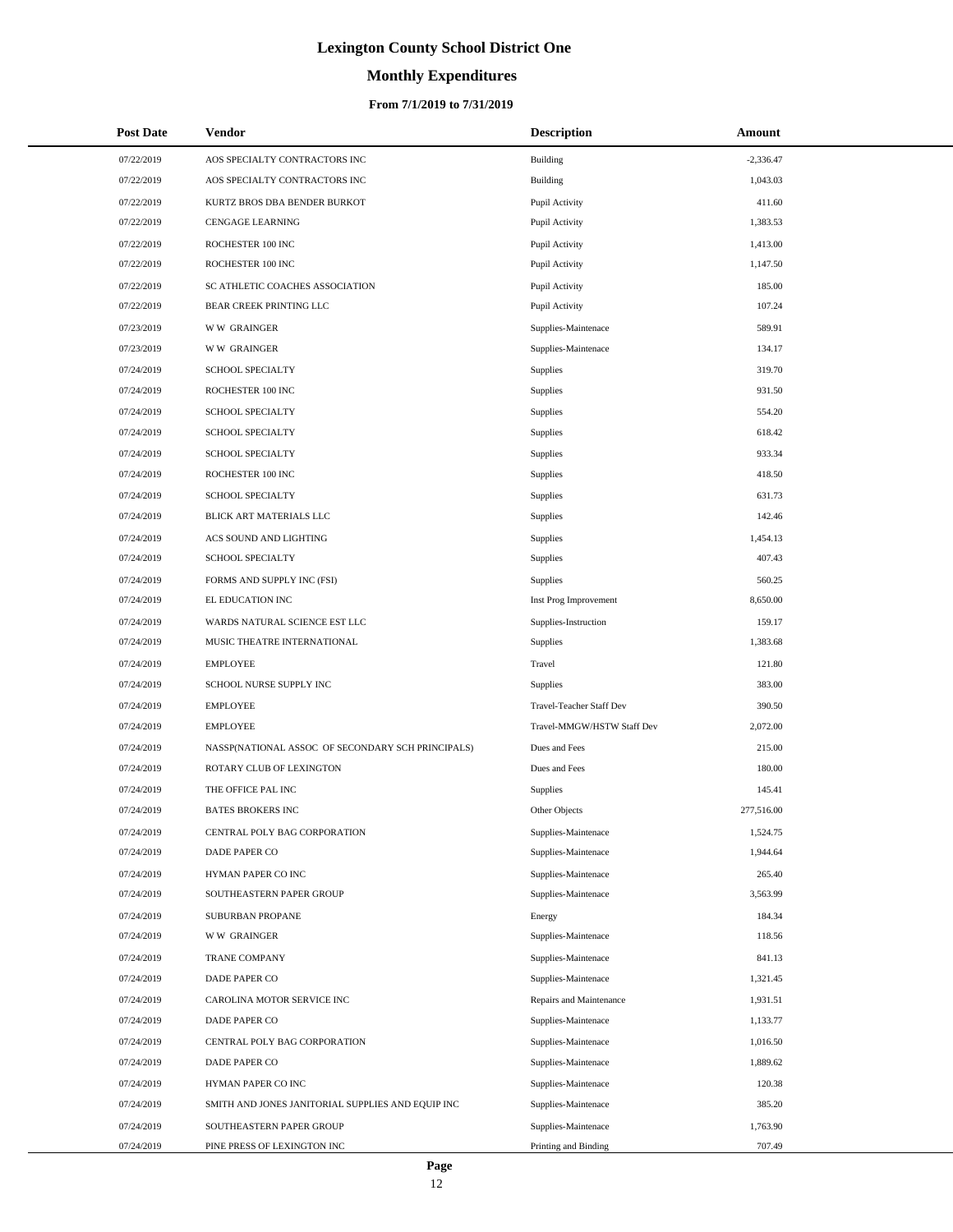# **Monthly Expenditures**

#### **From 7/1/2019 to 7/31/2019**

| <b>Post Date</b> | Vendor                                            | <b>Description</b>         | Amount      |
|------------------|---------------------------------------------------|----------------------------|-------------|
| 07/22/2019       | AOS SPECIALTY CONTRACTORS INC                     | <b>Building</b>            | $-2,336.47$ |
| 07/22/2019       | AOS SPECIALTY CONTRACTORS INC                     | <b>Building</b>            | 1,043.03    |
| 07/22/2019       | KURTZ BROS DBA BENDER BURKOT                      | Pupil Activity             | 411.60      |
| 07/22/2019       | CENGAGE LEARNING                                  | Pupil Activity             | 1,383.53    |
| 07/22/2019       | ROCHESTER 100 INC                                 | Pupil Activity             | 1,413.00    |
| 07/22/2019       | ROCHESTER 100 INC                                 | Pupil Activity             | 1,147.50    |
| 07/22/2019       | SC ATHLETIC COACHES ASSOCIATION                   | Pupil Activity             | 185.00      |
| 07/22/2019       | BEAR CREEK PRINTING LLC                           | Pupil Activity             | 107.24      |
| 07/23/2019       | <b>WW GRAINGER</b>                                | Supplies-Maintenace        | 589.91      |
| 07/23/2019       | <b>WW GRAINGER</b>                                | Supplies-Maintenace        | 134.17      |
| 07/24/2019       | SCHOOL SPECIALTY                                  | Supplies                   | 319.70      |
| 07/24/2019       | ROCHESTER 100 INC                                 | Supplies                   | 931.50      |
| 07/24/2019       | SCHOOL SPECIALTY                                  | Supplies                   | 554.20      |
| 07/24/2019       | <b>SCHOOL SPECIALTY</b>                           | Supplies                   | 618.42      |
| 07/24/2019       | SCHOOL SPECIALTY                                  | Supplies                   | 933.34      |
| 07/24/2019       | ROCHESTER 100 INC                                 | Supplies                   | 418.50      |
| 07/24/2019       | <b>SCHOOL SPECIALTY</b>                           | Supplies                   | 631.73      |
| 07/24/2019       | BLICK ART MATERIALS LLC                           | Supplies                   | 142.46      |
| 07/24/2019       | ACS SOUND AND LIGHTING                            | Supplies                   | 1,454.13    |
| 07/24/2019       | <b>SCHOOL SPECIALTY</b>                           | Supplies                   | 407.43      |
| 07/24/2019       | FORMS AND SUPPLY INC (FSI)                        | Supplies                   | 560.25      |
| 07/24/2019       | EL EDUCATION INC                                  | Inst Prog Improvement      | 8,650.00    |
| 07/24/2019       | WARDS NATURAL SCIENCE EST LLC                     | Supplies-Instruction       | 159.17      |
| 07/24/2019       | MUSIC THEATRE INTERNATIONAL                       | Supplies                   | 1,383.68    |
| 07/24/2019       | <b>EMPLOYEE</b>                                   | Travel                     | 121.80      |
| 07/24/2019       | SCHOOL NURSE SUPPLY INC                           | Supplies                   | 383.00      |
| 07/24/2019       | <b>EMPLOYEE</b>                                   | Travel-Teacher Staff Dev   | 390.50      |
| 07/24/2019       | <b>EMPLOYEE</b>                                   | Travel-MMGW/HSTW Staff Dev | 2,072.00    |
| 07/24/2019       | NASSP(NATIONAL ASSOC OF SECONDARY SCH PRINCIPALS) | Dues and Fees              | 215.00      |
| 07/24/2019       | ROTARY CLUB OF LEXINGTON                          | Dues and Fees              | 180.00      |
| 07/24/2019       | THE OFFICE PAL INC                                | <b>Supplies</b>            | 145.41      |
| 07/24/2019       | <b>BATES BROKERS INC</b>                          | Other Objects              | 277,516.00  |
| 07/24/2019       | CENTRAL POLY BAG CORPORATION                      | Supplies-Maintenace        | 1,524.75    |
| 07/24/2019       | DADE PAPER CO                                     | Supplies-Maintenace        | 1,944.64    |
| 07/24/2019       | HYMAN PAPER CO INC                                | Supplies-Maintenace        | 265.40      |
| 07/24/2019       | SOUTHEASTERN PAPER GROUP                          | Supplies-Maintenace        | 3,563.99    |
| 07/24/2019       | SUBURBAN PROPANE                                  | Energy                     | 184.34      |
| 07/24/2019       | <b>WW GRAINGER</b>                                | Supplies-Maintenace        | 118.56      |
| 07/24/2019       | TRANE COMPANY                                     | Supplies-Maintenace        | 841.13      |
| 07/24/2019       | DADE PAPER CO                                     | Supplies-Maintenace        | 1,321.45    |
| 07/24/2019       | CAROLINA MOTOR SERVICE INC                        | Repairs and Maintenance    | 1,931.51    |
| 07/24/2019       | DADE PAPER CO                                     | Supplies-Maintenace        | 1,133.77    |
| 07/24/2019       | CENTRAL POLY BAG CORPORATION                      | Supplies-Maintenace        | 1,016.50    |
| 07/24/2019       | DADE PAPER CO                                     | Supplies-Maintenace        | 1,889.62    |
| 07/24/2019       | HYMAN PAPER CO INC                                | Supplies-Maintenace        | 120.38      |
| 07/24/2019       | SMITH AND JONES JANITORIAL SUPPLIES AND EQUIP INC | Supplies-Maintenace        | 385.20      |
| 07/24/2019       | SOUTHEASTERN PAPER GROUP                          | Supplies-Maintenace        | 1,763.90    |
| 07/24/2019       | PINE PRESS OF LEXINGTON INC                       | Printing and Binding       | 707.49      |

 $\overline{a}$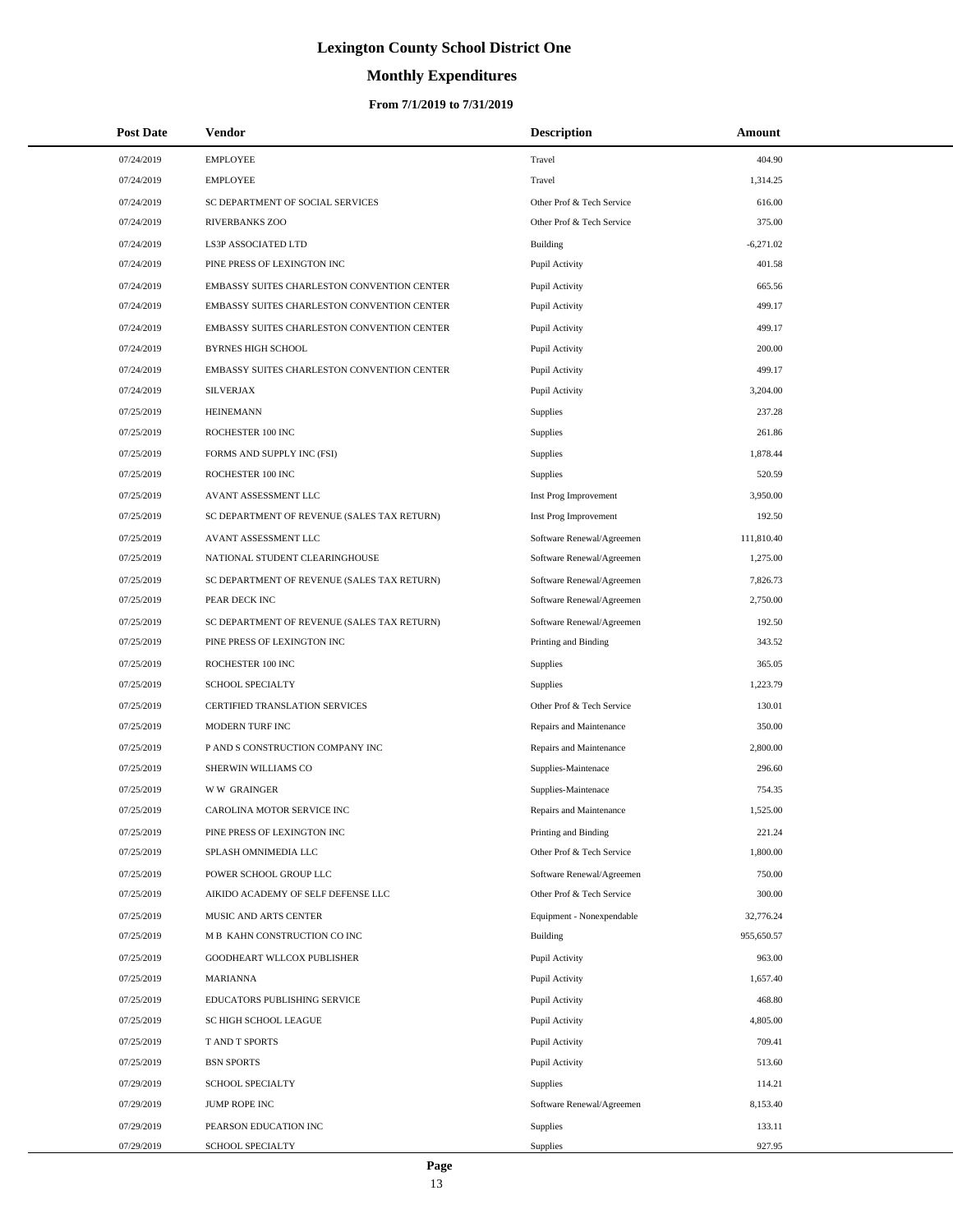# **Monthly Expenditures**

#### **From 7/1/2019 to 7/31/2019**

| <b>Post Date</b> | Vendor                                      | <b>Description</b>        | Amount      |
|------------------|---------------------------------------------|---------------------------|-------------|
| 07/24/2019       | <b>EMPLOYEE</b>                             | Travel                    | 404.90      |
| 07/24/2019       | <b>EMPLOYEE</b>                             | Travel                    | 1,314.25    |
| 07/24/2019       | SC DEPARTMENT OF SOCIAL SERVICES            | Other Prof & Tech Service | 616.00      |
| 07/24/2019       | <b>RIVERBANKS ZOO</b>                       | Other Prof & Tech Service | 375.00      |
| 07/24/2019       | LS3P ASSOCIATED LTD                         | Building                  | $-6,271.02$ |
| 07/24/2019       | PINE PRESS OF LEXINGTON INC                 | Pupil Activity            | 401.58      |
| 07/24/2019       | EMBASSY SUITES CHARLESTON CONVENTION CENTER | Pupil Activity            | 665.56      |
| 07/24/2019       | EMBASSY SUITES CHARLESTON CONVENTION CENTER | Pupil Activity            | 499.17      |
| 07/24/2019       | EMBASSY SUITES CHARLESTON CONVENTION CENTER | Pupil Activity            | 499.17      |
| 07/24/2019       | <b>BYRNES HIGH SCHOOL</b>                   | Pupil Activity            | 200.00      |
| 07/24/2019       | EMBASSY SUITES CHARLESTON CONVENTION CENTER | Pupil Activity            | 499.17      |
| 07/24/2019       | <b>SILVERJAX</b>                            | Pupil Activity            | 3,204.00    |
| 07/25/2019       | <b>HEINEMANN</b>                            | Supplies                  | 237.28      |
| 07/25/2019       | ROCHESTER 100 INC                           | Supplies                  | 261.86      |
| 07/25/2019       | FORMS AND SUPPLY INC (FSI)                  | Supplies                  | 1,878.44    |
| 07/25/2019       | ROCHESTER 100 INC                           | <b>Supplies</b>           | 520.59      |
| 07/25/2019       | AVANT ASSESSMENT LLC                        | Inst Prog Improvement     | 3,950.00    |
| 07/25/2019       | SC DEPARTMENT OF REVENUE (SALES TAX RETURN) | Inst Prog Improvement     | 192.50      |
| 07/25/2019       | AVANT ASSESSMENT LLC                        | Software Renewal/Agreemen | 111,810.40  |
| 07/25/2019       | NATIONAL STUDENT CLEARINGHOUSE              | Software Renewal/Agreemen | 1,275.00    |
| 07/25/2019       | SC DEPARTMENT OF REVENUE (SALES TAX RETURN) | Software Renewal/Agreemen | 7,826.73    |
| 07/25/2019       | PEAR DECK INC                               | Software Renewal/Agreemen | 2,750.00    |
| 07/25/2019       | SC DEPARTMENT OF REVENUE (SALES TAX RETURN) | Software Renewal/Agreemen | 192.50      |
| 07/25/2019       | PINE PRESS OF LEXINGTON INC                 | Printing and Binding      | 343.52      |
| 07/25/2019       | ROCHESTER 100 INC                           | Supplies                  | 365.05      |
| 07/25/2019       | SCHOOL SPECIALTY                            | Supplies                  | 1,223.79    |
| 07/25/2019       | CERTIFIED TRANSLATION SERVICES              | Other Prof & Tech Service | 130.01      |
| 07/25/2019       | MODERN TURF INC                             | Repairs and Maintenance   | 350.00      |
| 07/25/2019       | P AND S CONSTRUCTION COMPANY INC            | Repairs and Maintenance   | 2,800.00    |
| 07/25/2019       | SHERWIN WILLIAMS CO                         | Supplies-Maintenace       | 296.60      |
| 07/25/2019       | <b>WW GRAINGER</b>                          | Supplies-Maintenace       | 754.35      |
| 07/25/2019       | CAROLINA MOTOR SERVICE INC                  | Repairs and Maintenance   | 1,525.00    |
| 07/25/2019       | PINE PRESS OF LEXINGTON INC                 | Printing and Binding      | 221.24      |
| 07/25/2019       | SPLASH OMNIMEDIA LLC                        | Other Prof & Tech Service | 1,800.00    |
| 07/25/2019       | POWER SCHOOL GROUP LLC                      | Software Renewal/Agreemen | 750.00      |
| 07/25/2019       | AIKIDO ACADEMY OF SELF DEFENSE LLC          | Other Prof & Tech Service | 300.00      |
| 07/25/2019       | MUSIC AND ARTS CENTER                       | Equipment - Nonexpendable | 32,776.24   |
| 07/25/2019       | M B KAHN CONSTRUCTION CO INC                | Building                  | 955,650.57  |
| 07/25/2019       | GOODHEART WLLCOX PUBLISHER                  | Pupil Activity            | 963.00      |
| 07/25/2019       | <b>MARIANNA</b>                             | Pupil Activity            | 1,657.40    |
| 07/25/2019       | EDUCATORS PUBLISHING SERVICE                | Pupil Activity            | 468.80      |
| 07/25/2019       | SC HIGH SCHOOL LEAGUE                       | Pupil Activity            | 4,805.00    |
| 07/25/2019       | T AND T SPORTS                              | Pupil Activity            | 709.41      |
| 07/25/2019       | <b>BSN SPORTS</b>                           | Pupil Activity            | 513.60      |
| 07/29/2019       | SCHOOL SPECIALTY                            | Supplies                  | 114.21      |
| 07/29/2019       | JUMP ROPE INC                               | Software Renewal/Agreemen | 8,153.40    |
| 07/29/2019       | PEARSON EDUCATION INC                       | Supplies                  | 133.11      |
| 07/29/2019       | SCHOOL SPECIALTY                            | <b>Supplies</b>           | 927.95      |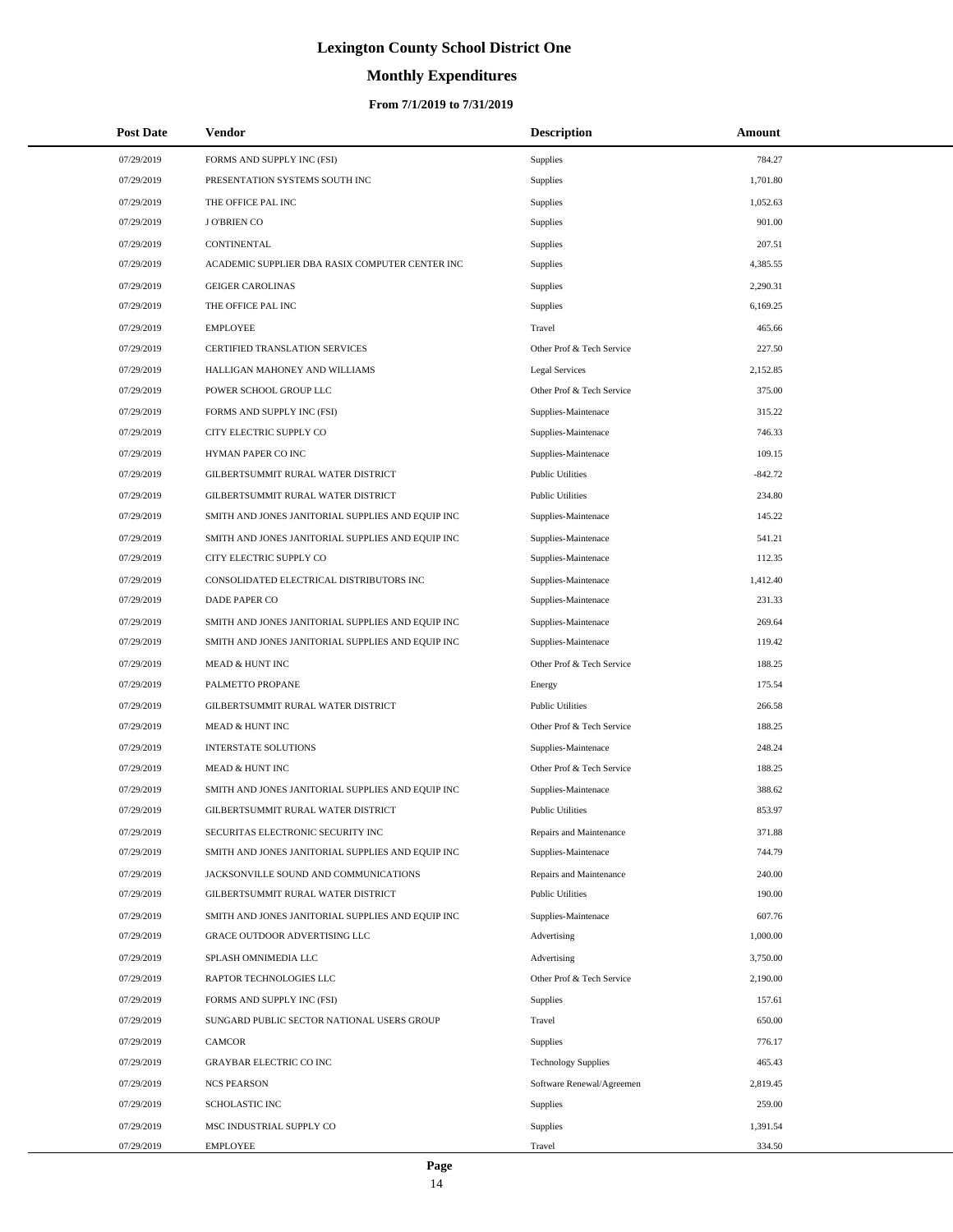# **Monthly Expenditures**

#### **From 7/1/2019 to 7/31/2019**

| <b>Post Date</b> | Vendor                                            | <b>Description</b>         | Amount    |
|------------------|---------------------------------------------------|----------------------------|-----------|
| 07/29/2019       | FORMS AND SUPPLY INC (FSI)                        | Supplies                   | 784.27    |
| 07/29/2019       | PRESENTATION SYSTEMS SOUTH INC                    | Supplies                   | 1,701.80  |
| 07/29/2019       | THE OFFICE PAL INC                                | Supplies                   | 1,052.63  |
| 07/29/2019       | <b>JO'BRIEN CO</b>                                | Supplies                   | 901.00    |
| 07/29/2019       | CONTINENTAL                                       | Supplies                   | 207.51    |
| 07/29/2019       | ACADEMIC SUPPLIER DBA RASIX COMPUTER CENTER INC   | Supplies                   | 4,385.55  |
| 07/29/2019       | <b>GEIGER CAROLINAS</b>                           | Supplies                   | 2,290.31  |
| 07/29/2019       | THE OFFICE PAL INC                                | Supplies                   | 6,169.25  |
| 07/29/2019       | <b>EMPLOYEE</b>                                   | Travel                     | 465.66    |
| 07/29/2019       | CERTIFIED TRANSLATION SERVICES                    | Other Prof & Tech Service  | 227.50    |
| 07/29/2019       | HALLIGAN MAHONEY AND WILLIAMS                     | Legal Services             | 2,152.85  |
| 07/29/2019       | POWER SCHOOL GROUP LLC                            | Other Prof & Tech Service  | 375.00    |
| 07/29/2019       | FORMS AND SUPPLY INC (FSI)                        | Supplies-Maintenace        | 315.22    |
| 07/29/2019       | CITY ELECTRIC SUPPLY CO                           | Supplies-Maintenace        | 746.33    |
| 07/29/2019       | HYMAN PAPER CO INC                                | Supplies-Maintenace        | 109.15    |
| 07/29/2019       | GILBERTSUMMIT RURAL WATER DISTRICT                | <b>Public Utilities</b>    | $-842.72$ |
| 07/29/2019       | GILBERTSUMMIT RURAL WATER DISTRICT                | <b>Public Utilities</b>    | 234.80    |
| 07/29/2019       | SMITH AND JONES JANITORIAL SUPPLIES AND EQUIP INC | Supplies-Maintenace        | 145.22    |
| 07/29/2019       | SMITH AND JONES JANITORIAL SUPPLIES AND EQUIP INC | Supplies-Maintenace        | 541.21    |
| 07/29/2019       | CITY ELECTRIC SUPPLY CO                           | Supplies-Maintenace        | 112.35    |
| 07/29/2019       | CONSOLIDATED ELECTRICAL DISTRIBUTORS INC          | Supplies-Maintenace        | 1,412.40  |
| 07/29/2019       | DADE PAPER CO                                     | Supplies-Maintenace        | 231.33    |
| 07/29/2019       | SMITH AND JONES JANITORIAL SUPPLIES AND EQUIP INC | Supplies-Maintenace        | 269.64    |
| 07/29/2019       | SMITH AND JONES JANITORIAL SUPPLIES AND EQUIP INC | Supplies-Maintenace        | 119.42    |
| 07/29/2019       | MEAD & HUNT INC                                   | Other Prof & Tech Service  | 188.25    |
| 07/29/2019       | PALMETTO PROPANE                                  | Energy                     | 175.54    |
| 07/29/2019       | GILBERTSUMMIT RURAL WATER DISTRICT                | <b>Public Utilities</b>    | 266.58    |
| 07/29/2019       | MEAD & HUNT INC                                   | Other Prof & Tech Service  | 188.25    |
| 07/29/2019       | <b>INTERSTATE SOLUTIONS</b>                       | Supplies-Maintenace        | 248.24    |
| 07/29/2019       | MEAD & HUNT INC                                   | Other Prof & Tech Service  | 188.25    |
| 07/29/2019       | SMITH AND JONES JANITORIAL SUPPLIES AND EQUIP INC | Supplies-Maintenace        | 388.62    |
| 07/29/2019       | GILBERTSUMMIT RURAL WATER DISTRICT                | <b>Public Utilities</b>    | 853.97    |
| 07/29/2019       | SECURITAS ELECTRONIC SECURITY INC                 | Repairs and Maintenance    | 371.88    |
| 07/29/2019       | SMITH AND JONES JANITORIAL SUPPLIES AND EQUIP INC | Supplies-Maintenace        | 744.79    |
| 07/29/2019       | JACKSONVILLE SOUND AND COMMUNICATIONS             | Repairs and Maintenance    | 240.00    |
| 07/29/2019       | GILBERTSUMMIT RURAL WATER DISTRICT                | <b>Public Utilities</b>    | 190.00    |
| 07/29/2019       | SMITH AND JONES JANITORIAL SUPPLIES AND EQUIP INC | Supplies-Maintenace        | 607.76    |
| 07/29/2019       | GRACE OUTDOOR ADVERTISING LLC                     | Advertising                | 1,000.00  |
| 07/29/2019       | SPLASH OMNIMEDIA LLC                              | Advertising                | 3,750.00  |
| 07/29/2019       | RAPTOR TECHNOLOGIES LLC                           | Other Prof & Tech Service  | 2,190.00  |
| 07/29/2019       | FORMS AND SUPPLY INC (FSI)                        | <b>Supplies</b>            | 157.61    |
| 07/29/2019       | SUNGARD PUBLIC SECTOR NATIONAL USERS GROUP        | Travel                     | 650.00    |
| 07/29/2019       | <b>CAMCOR</b>                                     | Supplies                   | 776.17    |
| 07/29/2019       | <b>GRAYBAR ELECTRIC CO INC</b>                    | <b>Technology Supplies</b> | 465.43    |
| 07/29/2019       | <b>NCS PEARSON</b>                                | Software Renewal/Agreemen  | 2,819.45  |
| 07/29/2019       | SCHOLASTIC INC                                    | Supplies                   | 259.00    |
| 07/29/2019       | MSC INDUSTRIAL SUPPLY CO                          | Supplies                   | 1,391.54  |
| 07/29/2019       | <b>EMPLOYEE</b>                                   | Travel                     | 334.50    |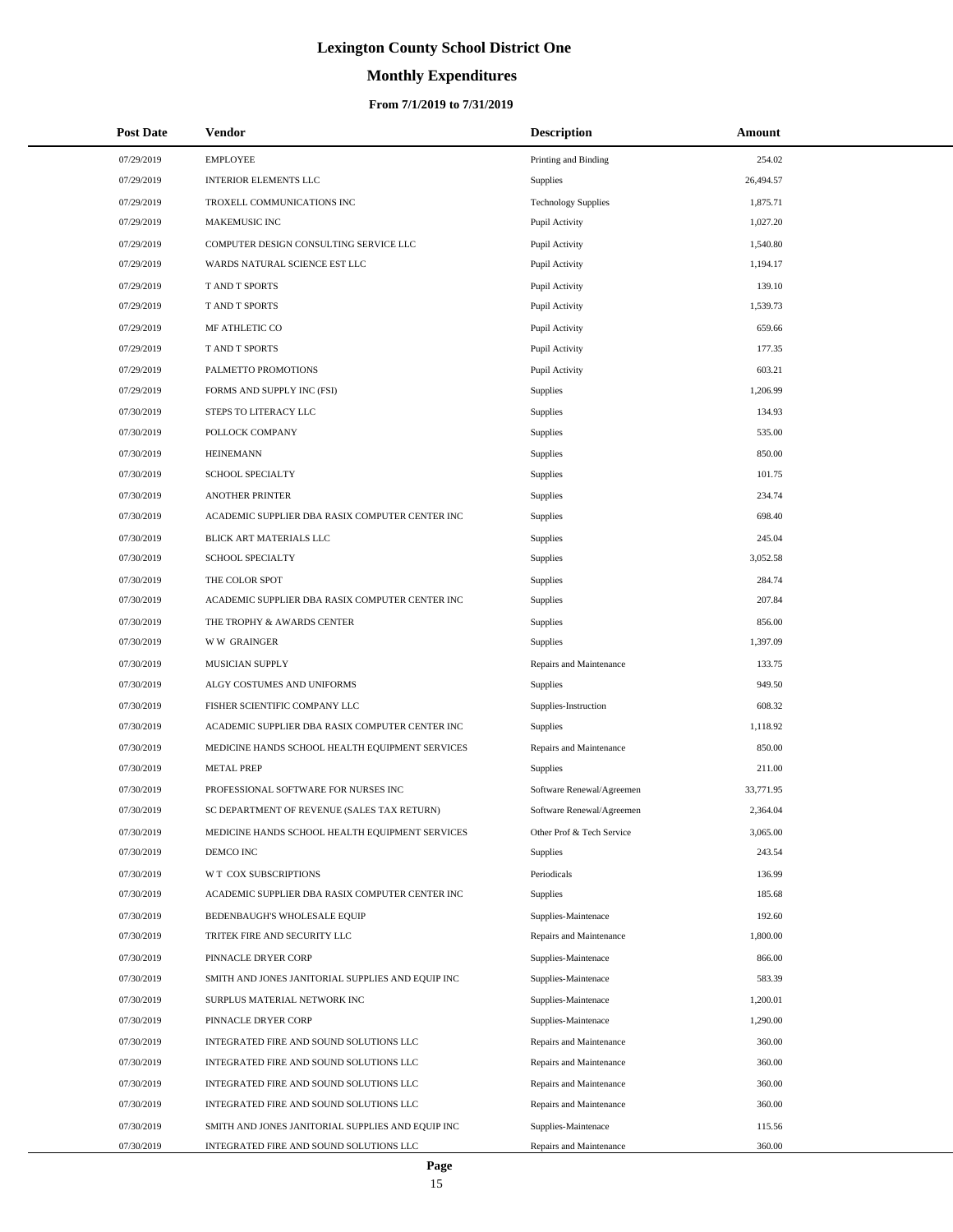# **Monthly Expenditures**

| <b>Post Date</b> | Vendor                                            | <b>Description</b>         | Amount    |
|------------------|---------------------------------------------------|----------------------------|-----------|
| 07/29/2019       | <b>EMPLOYEE</b>                                   | Printing and Binding       | 254.02    |
| 07/29/2019       | <b>INTERIOR ELEMENTS LLC</b>                      | Supplies                   | 26,494.57 |
| 07/29/2019       | TROXELL COMMUNICATIONS INC                        | <b>Technology Supplies</b> | 1,875.71  |
| 07/29/2019       | MAKEMUSIC INC                                     | Pupil Activity             | 1,027.20  |
| 07/29/2019       | COMPUTER DESIGN CONSULTING SERVICE LLC            | Pupil Activity             | 1,540.80  |
| 07/29/2019       | WARDS NATURAL SCIENCE EST LLC                     | Pupil Activity             | 1,194.17  |
| 07/29/2019       | T AND T SPORTS                                    | Pupil Activity             | 139.10    |
| 07/29/2019       | T AND T SPORTS                                    | Pupil Activity             | 1,539.73  |
| 07/29/2019       | MF ATHLETIC CO                                    | Pupil Activity             | 659.66    |
| 07/29/2019       | T AND T SPORTS                                    | Pupil Activity             | 177.35    |
| 07/29/2019       | PALMETTO PROMOTIONS                               | Pupil Activity             | 603.21    |
| 07/29/2019       | FORMS AND SUPPLY INC (FSI)                        | Supplies                   | 1,206.99  |
| 07/30/2019       | STEPS TO LITERACY LLC                             | Supplies                   | 134.93    |
| 07/30/2019       | POLLOCK COMPANY                                   | Supplies                   | 535.00    |
| 07/30/2019       | <b>HEINEMANN</b>                                  | Supplies                   | 850.00    |
| 07/30/2019       | SCHOOL SPECIALTY                                  | Supplies                   | 101.75    |
| 07/30/2019       | <b>ANOTHER PRINTER</b>                            | Supplies                   | 234.74    |
| 07/30/2019       | ACADEMIC SUPPLIER DBA RASIX COMPUTER CENTER INC   | Supplies                   | 698.40    |
| 07/30/2019       | BLICK ART MATERIALS LLC                           | Supplies                   | 245.04    |
| 07/30/2019       | SCHOOL SPECIALTY                                  | Supplies                   | 3,052.58  |
| 07/30/2019       | THE COLOR SPOT                                    | Supplies                   | 284.74    |
| 07/30/2019       | ACADEMIC SUPPLIER DBA RASIX COMPUTER CENTER INC   | Supplies                   | 207.84    |
| 07/30/2019       | THE TROPHY & AWARDS CENTER                        | Supplies                   | 856.00    |
| 07/30/2019       | <b>WW GRAINGER</b>                                | Supplies                   | 1,397.09  |
| 07/30/2019       | MUSICIAN SUPPLY                                   | Repairs and Maintenance    | 133.75    |
| 07/30/2019       | ALGY COSTUMES AND UNIFORMS                        | Supplies                   | 949.50    |
| 07/30/2019       | FISHER SCIENTIFIC COMPANY LLC                     | Supplies-Instruction       | 608.32    |
| 07/30/2019       | ACADEMIC SUPPLIER DBA RASIX COMPUTER CENTER INC   | Supplies                   | 1,118.92  |
| 07/30/2019       | MEDICINE HANDS SCHOOL HEALTH EQUIPMENT SERVICES   | Repairs and Maintenance    | 850.00    |
| 07/30/2019       | <b>METAL PREP</b>                                 | Supplies                   | 211.00    |
| 07/30/2019       | PROFESSIONAL SOFTWARE FOR NURSES INC              | Software Renewal/Agreemen  | 33,771.95 |
| 07/30/2019       | SC DEPARTMENT OF REVENUE (SALES TAX RETURN)       | Software Renewal/Agreemen  | 2,364.04  |
| 07/30/2019       | MEDICINE HANDS SCHOOL HEALTH EQUIPMENT SERVICES   | Other Prof & Tech Service  | 3,065.00  |
| 07/30/2019       | DEMCO INC                                         | Supplies                   | 243.54    |
| 07/30/2019       | <b>WT COX SUBSCRIPTIONS</b>                       | Periodicals                | 136.99    |
| 07/30/2019       | ACADEMIC SUPPLIER DBA RASIX COMPUTER CENTER INC   | Supplies                   | 185.68    |
| 07/30/2019       | BEDENBAUGH'S WHOLESALE EQUIP                      | Supplies-Maintenace        | 192.60    |
| 07/30/2019       | TRITEK FIRE AND SECURITY LLC                      | Repairs and Maintenance    | 1,800.00  |
| 07/30/2019       | PINNACLE DRYER CORP                               | Supplies-Maintenace        | 866.00    |
| 07/30/2019       | SMITH AND JONES JANITORIAL SUPPLIES AND EQUIP INC | Supplies-Maintenace        | 583.39    |
| 07/30/2019       | SURPLUS MATERIAL NETWORK INC                      | Supplies-Maintenace        | 1,200.01  |
| 07/30/2019       | PINNACLE DRYER CORP                               | Supplies-Maintenace        | 1,290.00  |
| 07/30/2019       | INTEGRATED FIRE AND SOUND SOLUTIONS LLC           | Repairs and Maintenance    | 360.00    |
| 07/30/2019       | INTEGRATED FIRE AND SOUND SOLUTIONS LLC           | Repairs and Maintenance    | 360.00    |
| 07/30/2019       | INTEGRATED FIRE AND SOUND SOLUTIONS LLC           | Repairs and Maintenance    | 360.00    |
| 07/30/2019       | INTEGRATED FIRE AND SOUND SOLUTIONS LLC           | Repairs and Maintenance    | 360.00    |
| 07/30/2019       | SMITH AND JONES JANITORIAL SUPPLIES AND EQUIP INC | Supplies-Maintenace        | 115.56    |
| 07/30/2019       | INTEGRATED FIRE AND SOUND SOLUTIONS LLC           | Repairs and Maintenance    | 360.00    |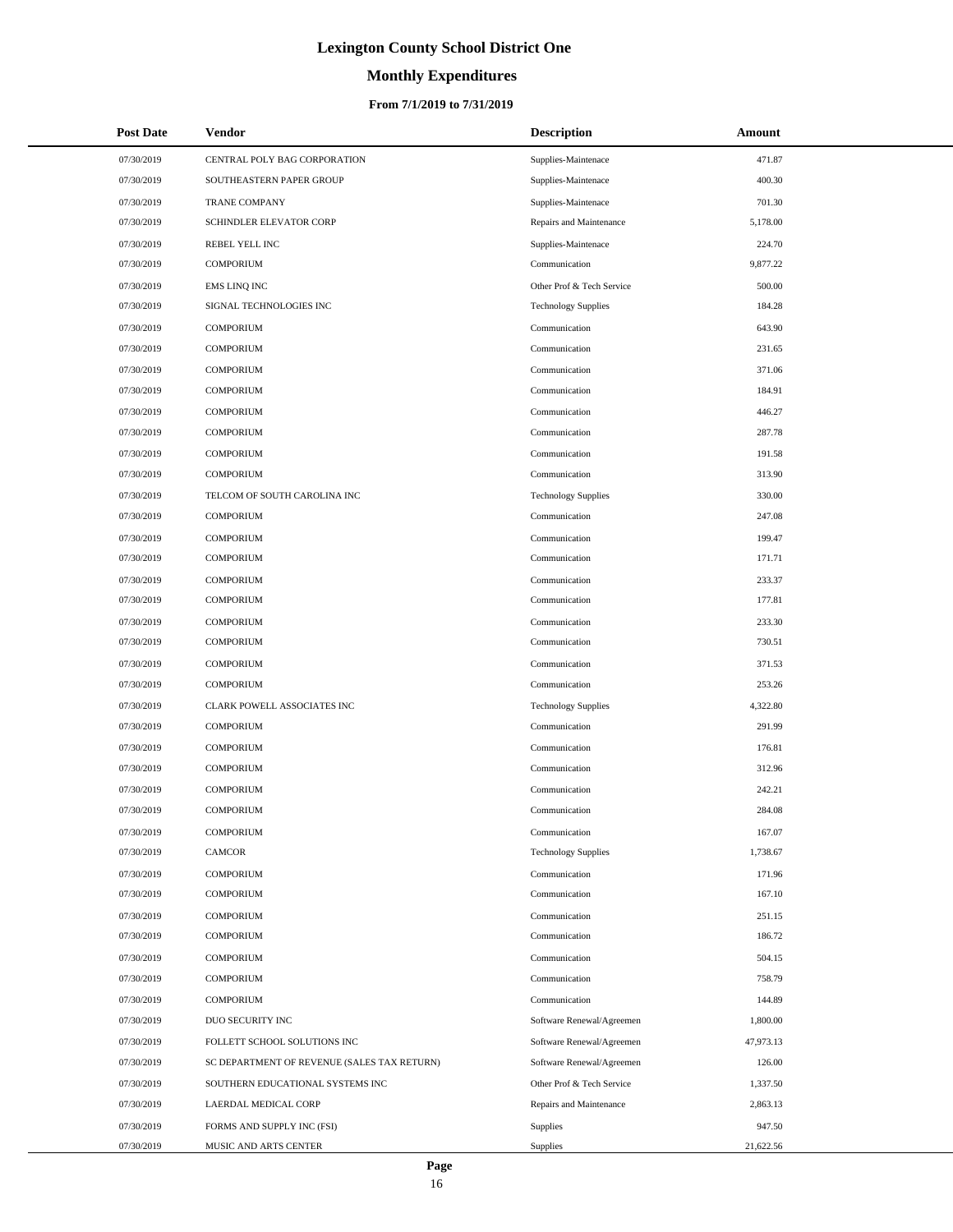# **Monthly Expenditures**

#### **From 7/1/2019 to 7/31/2019**

| <b>Post Date</b> | Vendor                                      | <b>Description</b>         | Amount    |
|------------------|---------------------------------------------|----------------------------|-----------|
| 07/30/2019       | CENTRAL POLY BAG CORPORATION                | Supplies-Maintenace        | 471.87    |
| 07/30/2019       | SOUTHEASTERN PAPER GROUP                    | Supplies-Maintenace        | 400.30    |
| 07/30/2019       | <b>TRANE COMPANY</b>                        | Supplies-Maintenace        | 701.30    |
| 07/30/2019       | SCHINDLER ELEVATOR CORP                     | Repairs and Maintenance    | 5,178.00  |
| 07/30/2019       | REBEL YELL INC                              | Supplies-Maintenace        | 224.70    |
| 07/30/2019       | <b>COMPORIUM</b>                            | Communication              | 9,877.22  |
| 07/30/2019       | <b>EMS LINQ INC</b>                         | Other Prof & Tech Service  | 500.00    |
| 07/30/2019       | SIGNAL TECHNOLOGIES INC                     | <b>Technology Supplies</b> | 184.28    |
| 07/30/2019       | <b>COMPORIUM</b>                            | Communication              | 643.90    |
| 07/30/2019       | <b>COMPORIUM</b>                            | Communication              | 231.65    |
| 07/30/2019       | <b>COMPORIUM</b>                            | Communication              | 371.06    |
| 07/30/2019       | <b>COMPORIUM</b>                            | Communication              | 184.91    |
| 07/30/2019       | <b>COMPORIUM</b>                            | Communication              | 446.27    |
| 07/30/2019       | <b>COMPORIUM</b>                            | Communication              | 287.78    |
| 07/30/2019       | <b>COMPORIUM</b>                            | Communication              | 191.58    |
| 07/30/2019       | <b>COMPORIUM</b>                            | Communication              | 313.90    |
| 07/30/2019       | TELCOM OF SOUTH CAROLINA INC                | <b>Technology Supplies</b> | 330.00    |
| 07/30/2019       | <b>COMPORIUM</b>                            | Communication              | 247.08    |
| 07/30/2019       | <b>COMPORIUM</b>                            | Communication              | 199.47    |
| 07/30/2019       | <b>COMPORIUM</b>                            | Communication              | 171.71    |
| 07/30/2019       | <b>COMPORIUM</b>                            | Communication              | 233.37    |
| 07/30/2019       | <b>COMPORIUM</b>                            | Communication              | 177.81    |
| 07/30/2019       | <b>COMPORIUM</b>                            | Communication              | 233.30    |
| 07/30/2019       | <b>COMPORIUM</b>                            | Communication              | 730.51    |
| 07/30/2019       | <b>COMPORIUM</b>                            | Communication              | 371.53    |
| 07/30/2019       | <b>COMPORIUM</b>                            | Communication              | 253.26    |
| 07/30/2019       | CLARK POWELL ASSOCIATES INC                 | <b>Technology Supplies</b> | 4,322.80  |
| 07/30/2019       | <b>COMPORIUM</b>                            | Communication              | 291.99    |
| 07/30/2019       | <b>COMPORIUM</b>                            | Communication              | 176.81    |
| 07/30/2019       | <b>COMPORIUM</b>                            | Communication              | 312.96    |
| 07/30/2019       | <b>COMPORIUM</b>                            | Communication              | 242.21    |
| 07/30/2019       | <b>COMPORIUM</b>                            | Communication              | 284.08    |
| 07/30/2019       | COMPORIUM                                   | Communication              | 167.07    |
| 07/30/2019       | CAMCOR                                      | <b>Technology Supplies</b> | 1,738.67  |
| 07/30/2019       | <b>COMPORIUM</b>                            | Communication              | 171.96    |
| 07/30/2019       | <b>COMPORIUM</b>                            | Communication              | 167.10    |
| 07/30/2019       | <b>COMPORIUM</b>                            | Communication              | 251.15    |
| 07/30/2019       | <b>COMPORIUM</b>                            | Communication              | 186.72    |
| 07/30/2019       | <b>COMPORIUM</b>                            | Communication              | 504.15    |
| 07/30/2019       | <b>COMPORIUM</b>                            | Communication              | 758.79    |
| 07/30/2019       | <b>COMPORIUM</b>                            | Communication              | 144.89    |
| 07/30/2019       | DUO SECURITY INC                            | Software Renewal/Agreemen  | 1,800.00  |
| 07/30/2019       | FOLLETT SCHOOL SOLUTIONS INC                | Software Renewal/Agreemen  | 47,973.13 |
| 07/30/2019       | SC DEPARTMENT OF REVENUE (SALES TAX RETURN) | Software Renewal/Agreemen  | 126.00    |
| 07/30/2019       | SOUTHERN EDUCATIONAL SYSTEMS INC            | Other Prof & Tech Service  | 1,337.50  |
| 07/30/2019       | LAERDAL MEDICAL CORP                        | Repairs and Maintenance    | 2,863.13  |
| 07/30/2019       | FORMS AND SUPPLY INC (FSI)                  | Supplies                   | 947.50    |
| 07/30/2019       | MUSIC AND ARTS CENTER                       | Supplies                   | 21,622.56 |

 $\overline{a}$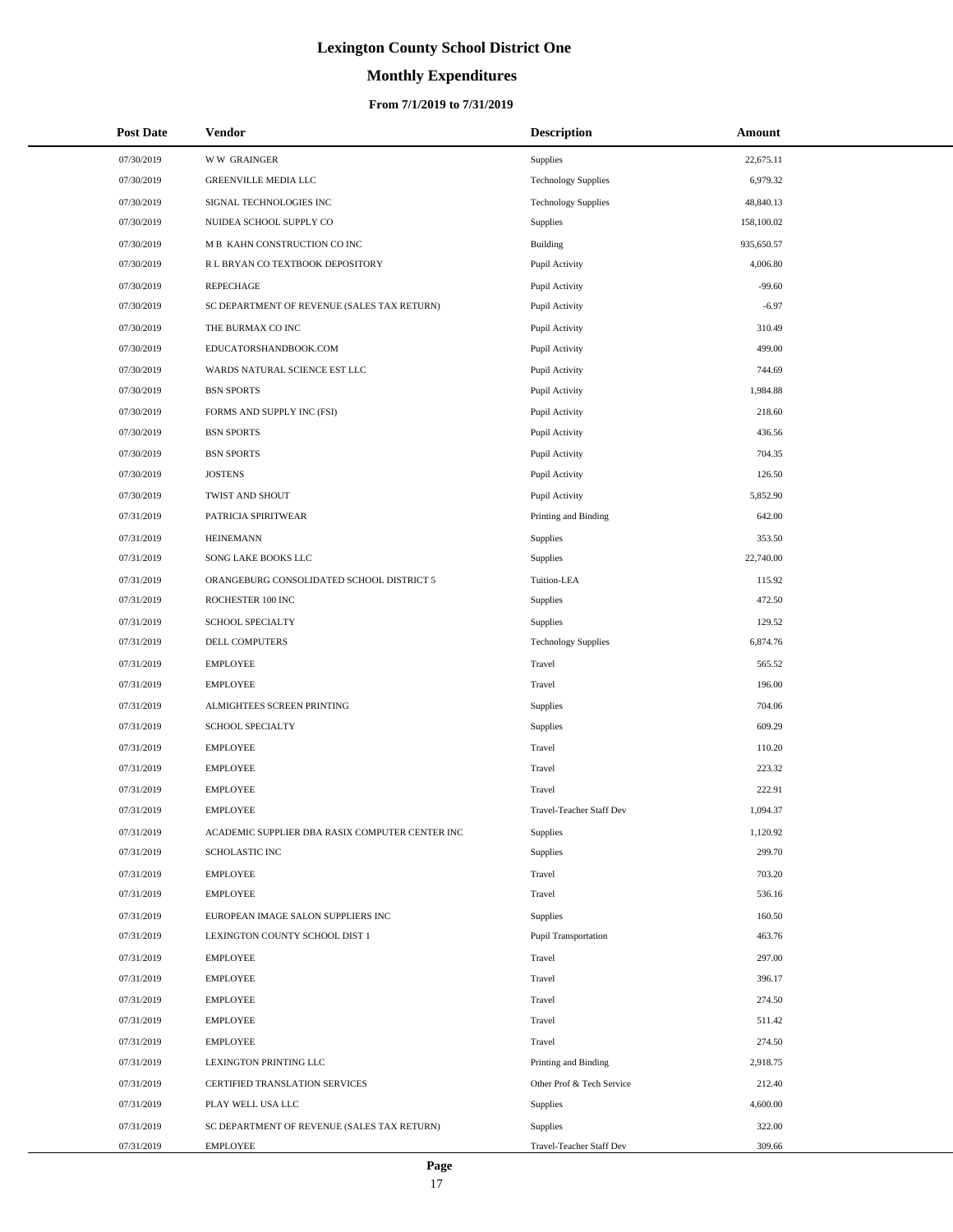# **Monthly Expenditures**

#### **From 7/1/2019 to 7/31/2019**

| <b>Post Date</b> | Vendor                                          | <b>Description</b>          | Amount     |
|------------------|-------------------------------------------------|-----------------------------|------------|
| 07/30/2019       | <b>WW GRAINGER</b>                              | Supplies                    | 22,675.11  |
| 07/30/2019       | GREENVILLE MEDIA LLC                            | <b>Technology Supplies</b>  | 6,979.32   |
| 07/30/2019       | SIGNAL TECHNOLOGIES INC                         | <b>Technology Supplies</b>  | 48,840.13  |
| 07/30/2019       | NUIDEA SCHOOL SUPPLY CO                         | Supplies                    | 158,100.02 |
| 07/30/2019       | M B KAHN CONSTRUCTION CO INC                    | Building                    | 935,650.57 |
| 07/30/2019       | R L BRYAN CO TEXTBOOK DEPOSITORY                | Pupil Activity              | 4,006.80   |
| 07/30/2019       | <b>REPECHAGE</b>                                | Pupil Activity              | $-99.60$   |
| 07/30/2019       | SC DEPARTMENT OF REVENUE (SALES TAX RETURN)     | Pupil Activity              | $-6.97$    |
| 07/30/2019       | THE BURMAX CO INC                               | Pupil Activity              | 310.49     |
| 07/30/2019       | EDUCATORSHANDBOOK.COM                           | Pupil Activity              | 499.00     |
| 07/30/2019       | WARDS NATURAL SCIENCE EST LLC                   | Pupil Activity              | 744.69     |
| 07/30/2019       | <b>BSN SPORTS</b>                               | Pupil Activity              | 1,984.88   |
| 07/30/2019       | FORMS AND SUPPLY INC (FSI)                      | Pupil Activity              | 218.60     |
| 07/30/2019       | <b>BSN SPORTS</b>                               | Pupil Activity              | 436.56     |
| 07/30/2019       | <b>BSN SPORTS</b>                               | Pupil Activity              | 704.35     |
| 07/30/2019       | <b>JOSTENS</b>                                  | Pupil Activity              | 126.50     |
| 07/30/2019       | TWIST AND SHOUT                                 | Pupil Activity              | 5,852.90   |
| 07/31/2019       | PATRICIA SPIRITWEAR                             | Printing and Binding        | 642.00     |
| 07/31/2019       | <b>HEINEMANN</b>                                | Supplies                    | 353.50     |
| 07/31/2019       | SONG LAKE BOOKS LLC                             | Supplies                    | 22,740.00  |
| 07/31/2019       | ORANGEBURG CONSOLIDATED SCHOOL DISTRICT 5       | Tuition-LEA                 | 115.92     |
| 07/31/2019       | ROCHESTER 100 INC                               | Supplies                    | 472.50     |
| 07/31/2019       | <b>SCHOOL SPECIALTY</b>                         | Supplies                    | 129.52     |
| 07/31/2019       | DELL COMPUTERS                                  | <b>Technology Supplies</b>  | 6,874.76   |
| 07/31/2019       | <b>EMPLOYEE</b>                                 | Travel                      | 565.52     |
| 07/31/2019       | <b>EMPLOYEE</b>                                 | Travel                      | 196.00     |
| 07/31/2019       | ALMIGHTEES SCREEN PRINTING                      | Supplies                    | 704.06     |
| 07/31/2019       | SCHOOL SPECIALTY                                | Supplies                    | 609.29     |
| 07/31/2019       | <b>EMPLOYEE</b>                                 | Travel                      | 110.20     |
| 07/31/2019       | <b>EMPLOYEE</b>                                 | Travel                      | 223.32     |
| 07/31/2019       | <b>EMPLOYEE</b>                                 | Travel                      | 222.91     |
| 07/31/2019       | <b>EMPLOYEE</b>                                 | Travel-Teacher Staff Dev    | 1,094.37   |
| 07/31/2019       | ACADEMIC SUPPLIER DBA RASIX COMPUTER CENTER INC | Supplies                    | 1,120.92   |
| 07/31/2019       | <b>SCHOLASTIC INC</b>                           | Supplies                    | 299.70     |
| 07/31/2019       | <b>EMPLOYEE</b>                                 | Travel                      | 703.20     |
| 07/31/2019       | <b>EMPLOYEE</b>                                 | Travel                      | 536.16     |
| 07/31/2019       | EUROPEAN IMAGE SALON SUPPLIERS INC              | Supplies                    | 160.50     |
| 07/31/2019       | LEXINGTON COUNTY SCHOOL DIST 1                  | <b>Pupil Transportation</b> | 463.76     |
| 07/31/2019       | <b>EMPLOYEE</b>                                 | Travel                      | 297.00     |
| 07/31/2019       | <b>EMPLOYEE</b>                                 | Travel                      | 396.17     |
| 07/31/2019       | <b>EMPLOYEE</b>                                 | Travel                      | 274.50     |
| 07/31/2019       | <b>EMPLOYEE</b>                                 | Travel                      | 511.42     |
| 07/31/2019       | <b>EMPLOYEE</b>                                 | Travel                      | 274.50     |
| 07/31/2019       | LEXINGTON PRINTING LLC                          | Printing and Binding        | 2,918.75   |
| 07/31/2019       | CERTIFIED TRANSLATION SERVICES                  | Other Prof & Tech Service   | 212.40     |
| 07/31/2019       | PLAY WELL USA LLC                               | Supplies                    | 4,600.00   |
| 07/31/2019       | SC DEPARTMENT OF REVENUE (SALES TAX RETURN)     | Supplies                    | 322.00     |
| 07/31/2019       | <b>EMPLOYEE</b>                                 | Travel-Teacher Staff Dev    | 309.66     |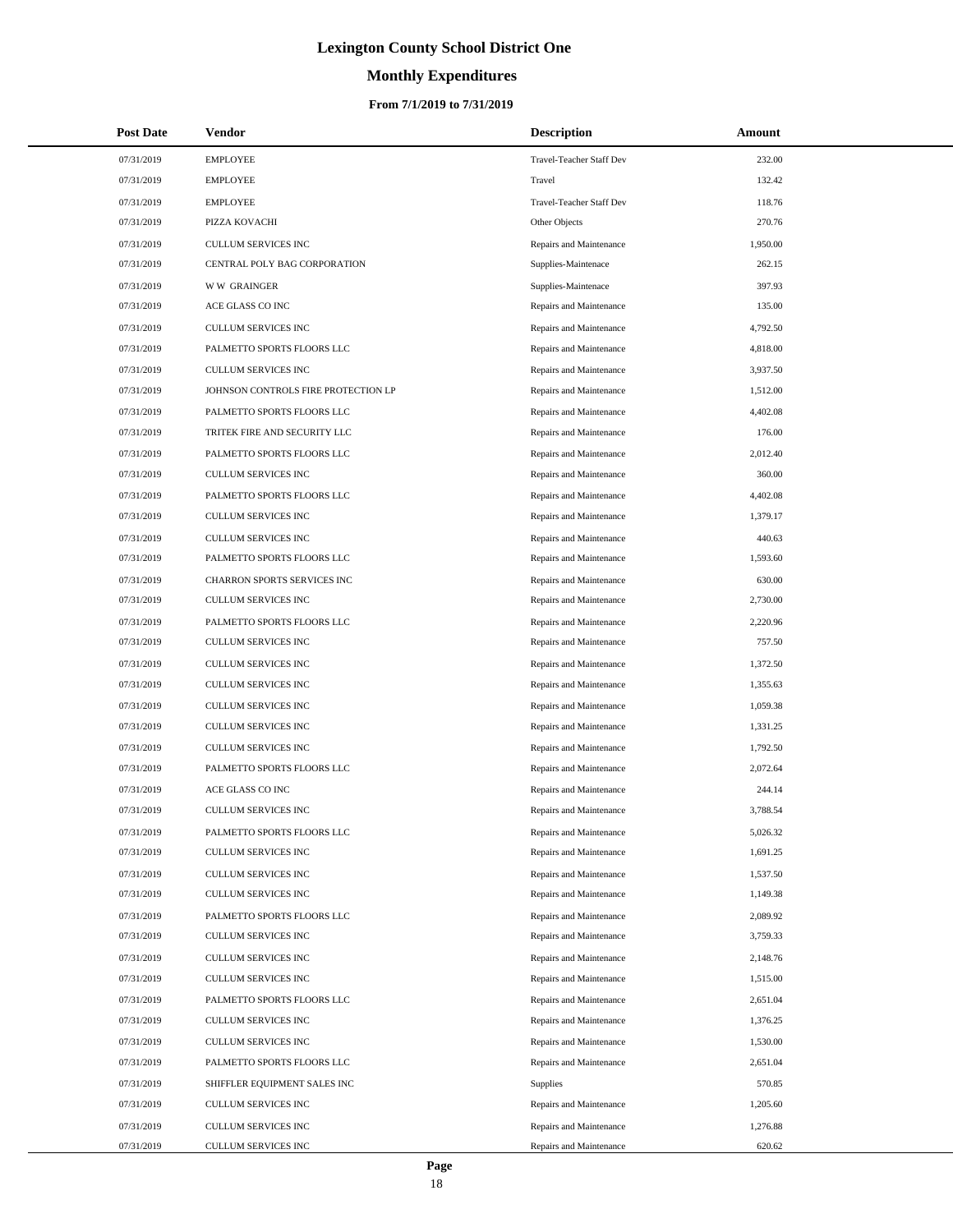# **Monthly Expenditures**

| <b>Post Date</b> | <b>Vendor</b>                       | <b>Description</b>              | Amount   |
|------------------|-------------------------------------|---------------------------------|----------|
| 07/31/2019       | <b>EMPLOYEE</b>                     | Travel-Teacher Staff Dev        | 232.00   |
| 07/31/2019       | <b>EMPLOYEE</b>                     | Travel                          | 132.42   |
| 07/31/2019       | <b>EMPLOYEE</b>                     | <b>Travel-Teacher Staff Dev</b> | 118.76   |
| 07/31/2019       | PIZZA KOVACHI                       | Other Objects                   | 270.76   |
| 07/31/2019       | <b>CULLUM SERVICES INC</b>          | Repairs and Maintenance         | 1,950.00 |
| 07/31/2019       | CENTRAL POLY BAG CORPORATION        | Supplies-Maintenace             | 262.15   |
| 07/31/2019       | <b>WW GRAINGER</b>                  | Supplies-Maintenace             | 397.93   |
| 07/31/2019       | ACE GLASS CO INC                    | Repairs and Maintenance         | 135.00   |
| 07/31/2019       | <b>CULLUM SERVICES INC</b>          | Repairs and Maintenance         | 4,792.50 |
| 07/31/2019       | PALMETTO SPORTS FLOORS LLC          | Repairs and Maintenance         | 4,818.00 |
| 07/31/2019       | CULLUM SERVICES INC                 | Repairs and Maintenance         | 3,937.50 |
| 07/31/2019       | JOHNSON CONTROLS FIRE PROTECTION LP | Repairs and Maintenance         | 1,512.00 |
| 07/31/2019       | PALMETTO SPORTS FLOORS LLC          | Repairs and Maintenance         | 4,402.08 |
| 07/31/2019       | TRITEK FIRE AND SECURITY LLC        | Repairs and Maintenance         | 176.00   |
| 07/31/2019       | PALMETTO SPORTS FLOORS LLC          | Repairs and Maintenance         | 2,012.40 |
| 07/31/2019       | <b>CULLUM SERVICES INC</b>          | Repairs and Maintenance         | 360.00   |
| 07/31/2019       | PALMETTO SPORTS FLOORS LLC          | Repairs and Maintenance         | 4,402.08 |
| 07/31/2019       | CULLUM SERVICES INC                 | Repairs and Maintenance         | 1,379.17 |
| 07/31/2019       | <b>CULLUM SERVICES INC</b>          | Repairs and Maintenance         | 440.63   |
| 07/31/2019       | PALMETTO SPORTS FLOORS LLC          | Repairs and Maintenance         | 1,593.60 |
| 07/31/2019       | CHARRON SPORTS SERVICES INC         | Repairs and Maintenance         | 630.00   |
| 07/31/2019       | <b>CULLUM SERVICES INC</b>          | Repairs and Maintenance         | 2,730.00 |
| 07/31/2019       | PALMETTO SPORTS FLOORS LLC          | Repairs and Maintenance         | 2,220.96 |
| 07/31/2019       | CULLUM SERVICES INC                 | Repairs and Maintenance         | 757.50   |
| 07/31/2019       | CULLUM SERVICES INC                 | Repairs and Maintenance         | 1,372.50 |
| 07/31/2019       | CULLUM SERVICES INC                 | Repairs and Maintenance         | 1,355.63 |
| 07/31/2019       | CULLUM SERVICES INC                 | Repairs and Maintenance         | 1,059.38 |
| 07/31/2019       | CULLUM SERVICES INC                 | Repairs and Maintenance         | 1,331.25 |
| 07/31/2019       | <b>CULLUM SERVICES INC</b>          | Repairs and Maintenance         | 1,792.50 |
| 07/31/2019       | PALMETTO SPORTS FLOORS LLC          | Repairs and Maintenance         | 2,072.64 |
| 07/31/2019       | ACE GLASS CO INC                    | Repairs and Maintenance         | 244.14   |
| 07/31/2019       | <b>CULLUM SERVICES INC</b>          | Repairs and Maintenance         | 3,788.54 |
| 07/31/2019       | PALMETTO SPORTS FLOORS LLC          | Repairs and Maintenance         | 5,026.32 |
| 07/31/2019       | CULLUM SERVICES INC                 | Repairs and Maintenance         | 1,691.25 |
| 07/31/2019       | CULLUM SERVICES INC                 | Repairs and Maintenance         | 1,537.50 |
| 07/31/2019       | CULLUM SERVICES INC                 | Repairs and Maintenance         | 1,149.38 |
| 07/31/2019       | PALMETTO SPORTS FLOORS LLC          | Repairs and Maintenance         | 2,089.92 |
| 07/31/2019       | CULLUM SERVICES INC                 | Repairs and Maintenance         | 3,759.33 |
| 07/31/2019       | CULLUM SERVICES INC                 | Repairs and Maintenance         | 2,148.76 |
| 07/31/2019       | CULLUM SERVICES INC                 | Repairs and Maintenance         | 1,515.00 |
| 07/31/2019       | PALMETTO SPORTS FLOORS LLC          | Repairs and Maintenance         | 2,651.04 |
| 07/31/2019       | CULLUM SERVICES INC                 | Repairs and Maintenance         | 1,376.25 |
| 07/31/2019       | CULLUM SERVICES INC                 | Repairs and Maintenance         | 1,530.00 |
| 07/31/2019       | PALMETTO SPORTS FLOORS LLC          | Repairs and Maintenance         | 2,651.04 |
| 07/31/2019       | SHIFFLER EQUIPMENT SALES INC        | Supplies                        | 570.85   |
| 07/31/2019       | CULLUM SERVICES INC                 | Repairs and Maintenance         | 1,205.60 |
| 07/31/2019       | CULLUM SERVICES INC                 | Repairs and Maintenance         | 1,276.88 |
| 07/31/2019       | CULLUM SERVICES INC                 | Repairs and Maintenance         | 620.62   |